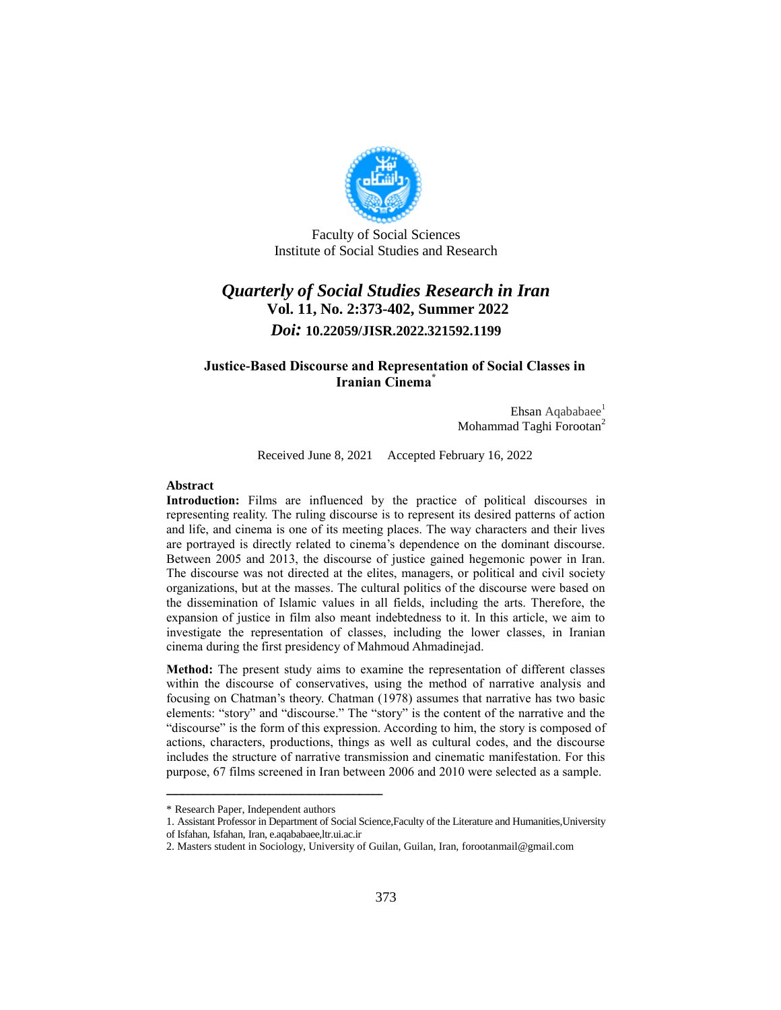

Faculty of Social Sciences Institute of Social Studies and Research

# *Quarterly of Social Studies Research in Iran* **Vol. 11, No. 2:373-402, Summer 2022** *Doi:* **10.22059/JISR.2022.321592.1199**

#### **Justice-Based Discourse and Representation of Social Classes in Iranian Cinema\***

Ehsan Aqababaee $<sup>1</sup>$ </sup> Mohammad Taghi Forootan<sup>2</sup>

Received June 8, 2021 Accepted February 16, 2022

#### **Abstract**

**Introduction:** Films are influenced by the practice of political discourses in representing reality. The ruling discourse is to represent its desired patterns of action and life, and cinema is one of its meeting places. The way characters and their lives are portrayed is directly related to cinema's dependence on the dominant discourse. Between 2005 and 2013, the discourse of justice gained hegemonic power in Iran. The discourse was not directed at the elites, managers, or political and civil society organizations, but at the masses. The cultural politics of the discourse were based on the dissemination of Islamic values in all fields, including the arts. Therefore, the expansion of justice in film also meant indebtedness to it. In this article, we aim to investigate the representation of classes, including the lower classes, in Iranian cinema during the first presidency of Mahmoud Ahmadinejad.

**Method:** The present study aims to examine the representation of different classes within the discourse of conservatives, using the method of narrative analysis and focusing on Chatman's theory. Chatman (1978) assumes that narrative has two basic elements: "story" and "discourse." The "story" is the content of the narrative and the "discourse" is the form of this expression. According to him, the story is composed of actions, characters, productions, things as well as cultural codes, and the discourse includes the structure of narrative transmission and cinematic manifestation. For this purpose, 67 films screened in Iran between 2006 and 2010 were selected as a sample.

<sup>\*</sup> Research Paper, Independent authors

<sup>1.</sup> Assistant Professor in Department of Social Science,Faculty of the Literature and Humanities,University

of Isfahan, Isfahan, Iran, e.aqababaee,ltr.ui.ac.ir

<sup>2.</sup> Masters student in Sociology, University of Guilan, Guilan, Iran, forootanmail@gmail.com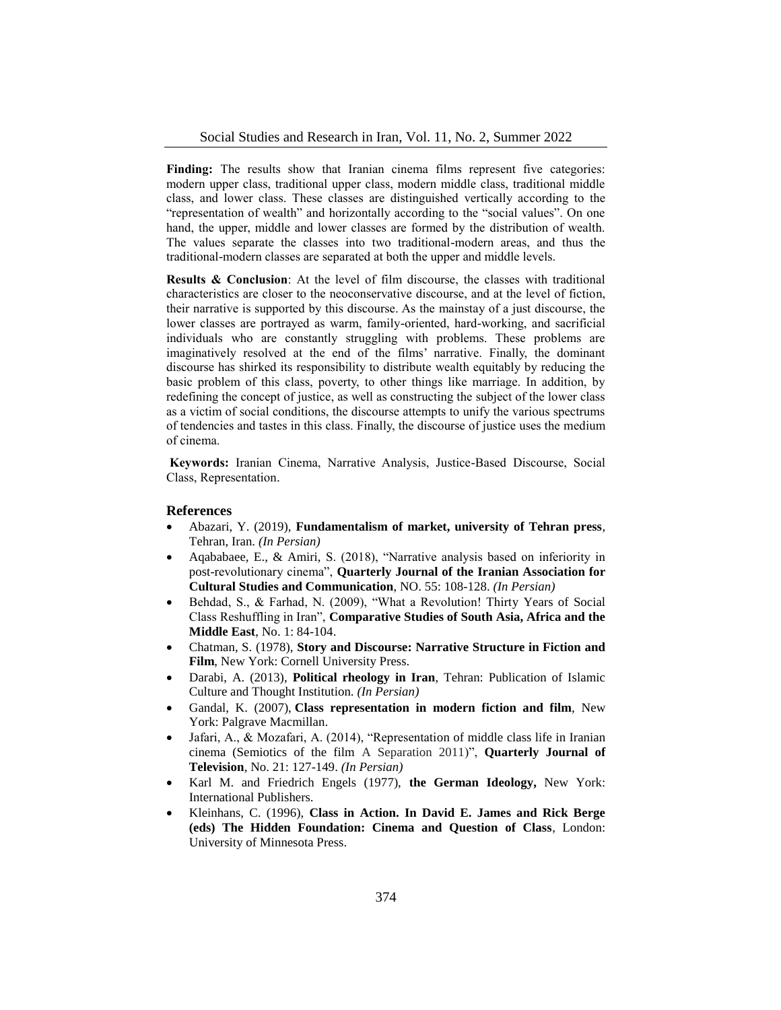Finding: The results show that Iranian cinema films represent five categories: modern upper class, traditional upper class, modern middle class, traditional middle class, and lower class. These classes are distinguished vertically according to the "representation of wealth" and horizontally according to the "social values". On one hand, the upper, middle and lower classes are formed by the distribution of wealth. The values separate the classes into two traditional-modern areas, and thus the traditional-modern classes are separated at both the upper and middle levels.

**Results & Conclusion**: At the level of film discourse, the classes with traditional characteristics are closer to the neoconservative discourse, and at the level of fiction, their narrative is supported by this discourse. As the mainstay of a just discourse, the lower classes are portrayed as warm, family-oriented, hard-working, and sacrificial individuals who are constantly struggling with problems. These problems are imaginatively resolved at the end of the films' narrative. Finally, the dominant discourse has shirked its responsibility to distribute wealth equitably by reducing the basic problem of this class, poverty, to other things like marriage. In addition, by redefining the concept of justice, as well as constructing the subject of the lower class as a victim of social conditions, the discourse attempts to unify the various spectrums of tendencies and tastes in this class. Finally, the discourse of justice uses the medium of cinema.

**Keywords:** Iranian Cinema, Narrative Analysis, Justice-Based Discourse, Social Class, Representation.

#### **References**

- Abazari, Y. (2019), **Fundamentalism of market, university of Tehran press**, Tehran, Iran. *(In Persian)*
- Aqababaee, E., & Amiri, S. (2018), "Narrative analysis based on inferiority in post-revolutionary cinema", **Quarterly Journal of the Iranian Association for Cultural Studies and Communication**, NO. 55: 108-128. *(In Persian)*
- Behdad, S., & Farhad, N. (2009), "What a Revolution! Thirty Years of Social Class Reshuffling in Iran", **Comparative Studies of South Asia, Africa and the Middle East**, No. 1: 84-104.
- Chatman, S. (1978), **Story and Discourse: Narrative Structure in Fiction and Film**, New York: Cornell University Press.
- Darabi, A. (2013), **Political rheology in Iran**, Tehran: Publication of Islamic Culture and Thought Institution. *(In Persian)*
- Gandal, K. (2007), **Class representation in modern fiction and film**, New York: Palgrave Macmillan.
- Jafari, A., & Mozafari, A. (2014), "Representation of middle class life in Iranian cinema (Semiotics of the film A Separation 2011)", **Quarterly Journal of Television**, No. 21: 127-149. *(In Persian)*
- Karl M. and Friedrich Engels (1977), **the German Ideology,** New York: International Publishers.
- Kleinhans, C. (1996), **Class in Action. In David E. James and Rick Berge (eds) The Hidden Foundation: Cinema and Question of Class**, London: University of Minnesota Press.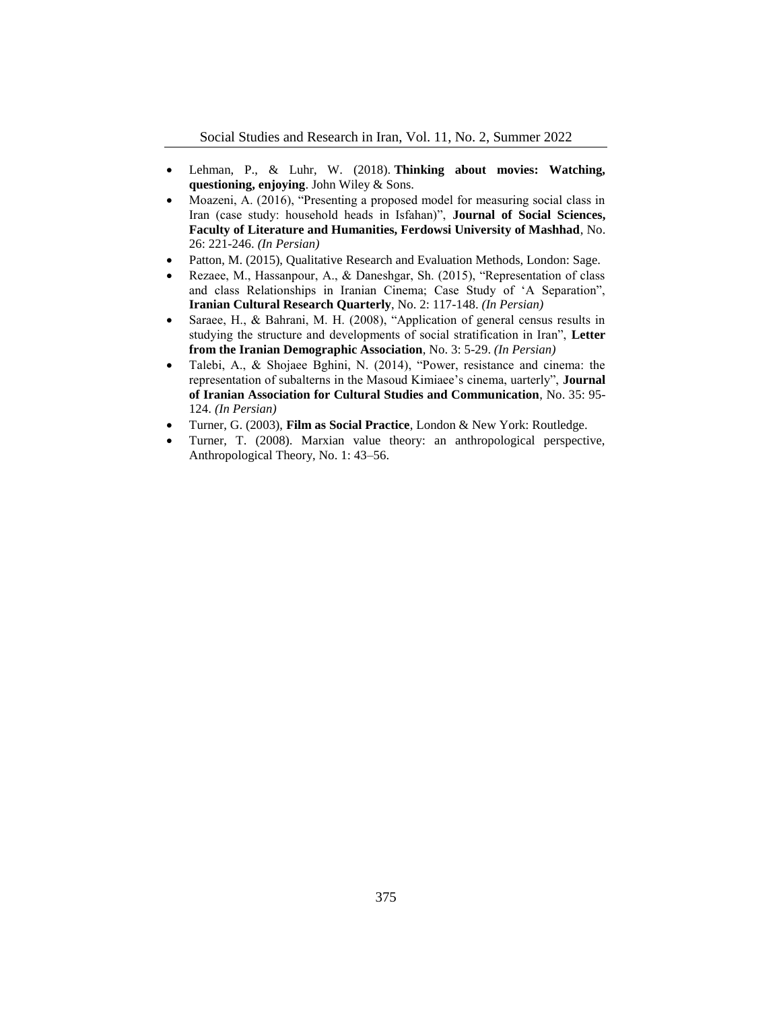- Lehman, P., & Luhr, W. (2018). **Thinking about movies: Watching, questioning, enjoying**. John Wiley & Sons.
- Moazeni, A. (2016), "Presenting a proposed model for measuring social class in Iran (case study: household heads in Isfahan)", **Journal of Social Sciences, Faculty of Literature and Humanities, Ferdowsi University of Mashhad**, No. 26: 221-246. *(In Persian)*
- Patton, M. (2015), Qualitative Research and Evaluation Methods, London: Sage.
- Rezaee, M., Hassanpour, A., & Daneshgar, Sh. (2015), "Representation of class and class Relationships in Iranian Cinema; Case Study of 'A Separation", **Iranian Cultural Research Quarterly**, No. 2: 117-148. *(In Persian)*
- Saraee, H., & Bahrani, M. H. (2008), "Application of general census results in studying the structure and developments of social stratification in Iran", **Letter from the Iranian Demographic Association**, No. 3: 5-29. *(In Persian)*
- Talebi, A., & Shojaee Bghini, N. (2014), "Power, resistance and cinema: the representation of subalterns in the Masoud Kimiaee's cinema, uarterly", **Journal of Iranian Association for Cultural Studies and Communication**, No. 35: 95- 124. *(In Persian)*
- Turner, G. (2003), **Film as Social Practice**, London & New York: Routledge.
- Turner, T. (2008). Marxian value theory: an anthropological perspective, Anthropological Theory, No. 1: 43–56.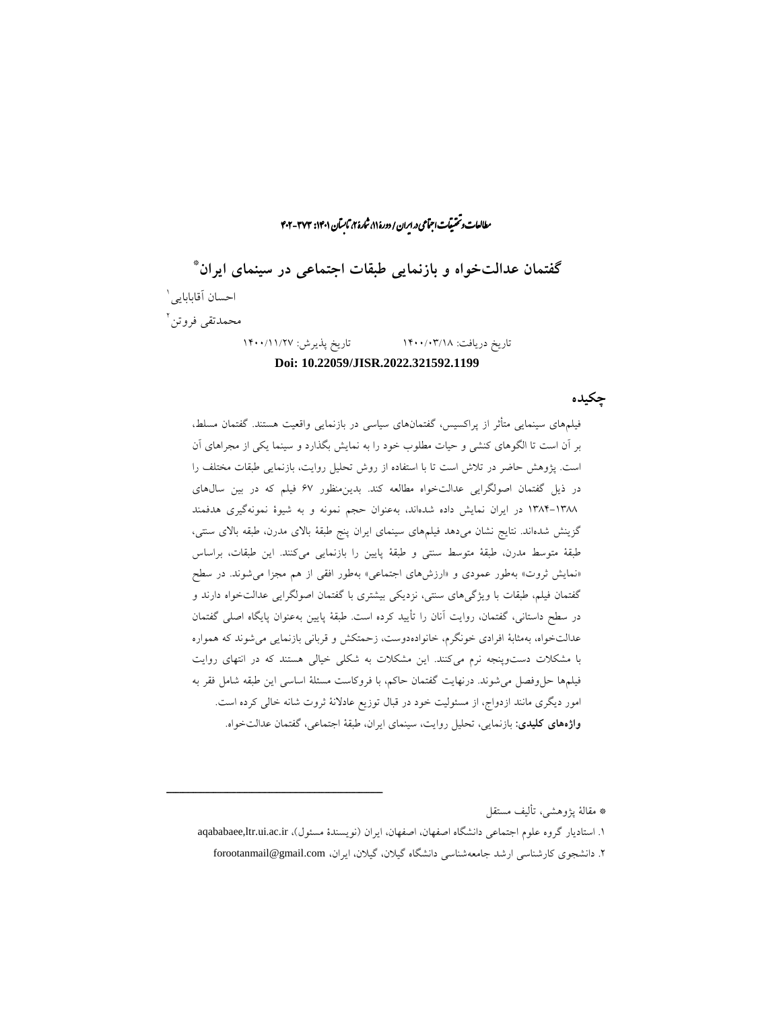راان و تحقیقات اجتماعی در ایران / دورهٔ ۱۱، شارهٔ ۲، ثابسآن ۱۴۰۱: ۳۷۲- ۴۰۲ ما ش

\* **گفتمان عدالتخواه و بازنمایی طبقات اجتماعی در سینمای ایران** احسان آقابابایی<sup>۱</sup> 2 محمدتقی فروتن تاریخ دریافت: 1400/03/18 تاریخ پذیرش: 1400/11/27

#### **Doi: 10.22059/JISR.2022.321592.1199**

# **چکیده**

فیلمهای سینمایی متأثر از پراکسیس، گفتمانهای سیاسی در بازنمایی واقعیت هستند. گفتمان مسلط، بر آن است تا الگوهای کنشی و حیات مطلوب خود را به نمایش بگذارد و سینما یکی از مجراهای آن است. پژوهش حاضر در تالش است تا با استفاده از روش تحلیل روایت، بازنمایی طبقات مختلف را در ذیل گفتمان اصولگرایی عدالتخواه مطالعه کند. بدینمنظور 67 فیلم که در بین سالهای 1384-1388 در ایران نمایش داده شدهاند، بهعنوان حجم نمونه و به شیوۀ نمونهگیری هدفمند گزینش شدهاند. نتایج نشان میدهد فیلمهای سینمای ایران پنج طبقۀ باالی مدرن، طبقه باالی سنتی، طبقۀ متوسط مدرن، طبقۀ متوسط سنتی و طبقۀ پایین را بازنمایی میکنند. این طبقات، براساس «نمایش ثروت» بهطور عمودی و «ارزشهای اجتماعی» بهطور افقی از هم مجزا می شوند. در سطح گفتمان فیلم، طبقات با ویژگیهای سنتی، نزدیکی بیشتری با گفتمان اصولگرایی عدالتخواه دارند و در سطح داستانی، گفتمان، روایت آنان را تأیید کرده است. طبقۀ پایین بهعنوان پایگاه اصلی گفتمان عدالتخواه، بهمثابۀ افرادی خونگرم، خانوادهدوست، زحمتکش و قربانی بازنمایی میشوند که همواره با مشکالت دستوپنجه نرم میکنند. این مشکالت به شکلی خیالی هستند که در انتهای روایت فیلمها حلوفصل میشوند. درنهایت گفتمان حاکم، با فروکاست مسئلۀ اساسی این طبقه شامل فقر به امور دیگری مانند ازدواج، از مسئولیت خود در قبال توزیع عادالنۀ ثروت شانه خالی کرده است. **واژههای کلیدی:** بازنمایی، تحلیل روایت، سینمای ایران، طبقۀ اجتماعی، گفتمان عدالتخواه.

\* مقالۀ پژوهشی، تألیف مستقل

۱. استادیار گروه علوم اجتماعی دانشگاه اصفهان، اصفهان، ایران (نویسندۀ مسئول)، aqababaee,ltr.ui.ac.ir .2 دانشجوی کارشناسی ارشد جامعهشناسی دانشگاه گیالن، گیالن، ایران، com.gmail@forootanmail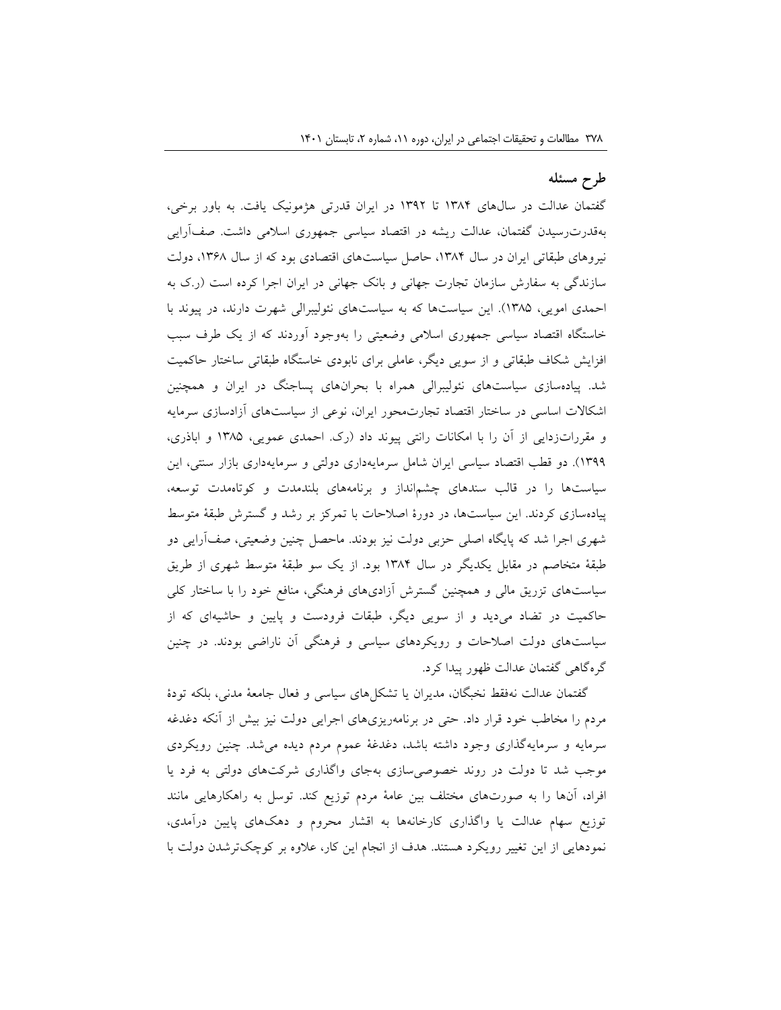# **طرح مسئله**

گفتمان عدالت در سالهای 1384 تا 1392 در ایران قدرتی هژمونیک یافت. به باور برخی، بهقدرترسیدن گفتمان، عدالت ریشه در اقتصاد سیاسی جمهوری اسالمی داشت. صفآرایی نیروهای طبقاتی ایران در سال ۱۳۸۴، حاصل سیاستهای اقتصادی بود که از سال ۱۳۶۸، دولت سازندگی به سفارش سازمان تجارت جهانی و بانک جهانی در ایران اجرا کرده است )ر.ک به احمدی امویی، 1385(. این سیاستها که به سیاستهای نئولیبرالی شهرت دارند، در پیوند با خاستگاه اقتصاد سیاسی جمهوری اسالمی وضعیتی را بهوجود آوردند که از یک طرف سبب افزایش شکاف طبقاتی و از سویی دیگر، عاملی برای نابودی خاستگاه طبقاتی ساختار حاکمیت شد. پیادهسازی سیاستهای نئولیبرالی همراه با بحرانهای پساجنگ در ایران و همچنین اشکاالت اساسی در ساختار اقتصاد تجارتمحور ایران، نوعی از سیاستهای آزادسازی سرمایه و مقرراتزدایی از آن را با امکانات رانتی پیوند داد )رک. احمدی عمویی، 1385 و اباذری، 1399(. دو قطب اقتصاد سیاسی ایران شامل سرمایهداری دولتی و سرمایهداری بازار سنتی، این سیاستها را در قالب سندهای چشمانداز و برنامههای بلندمدت و کوتاهمدت توسعه، پیادهسازی کردند. این سیاستها، در دورۀ اصالحات با تمرکز بر رشد و گسترش طبقۀ متوسط شهری اجرا شد که پایگاه اصلی حزبی دولت نیز بودند. ماحصل چنین وضعیتی، صفآرایی دو طبقۀ متخاصم در مقابل یکدیگر در سال 1384 بود. از یک سو طبقۀ متوسط شهری از طریق سیاستهای تزریق مالی و همچنین گسترش آزادیهای فرهنگی، منافع خود را با ساختار کلی حاکمیت در تضاد میدید و از سویی دیگر، طبقات فرودست و پایین و حاشیهای که از سیاستهای دولت اصالحات و رویکردهای سیاسی و فرهنگی آن ناراضی بودند. در چنین گرهگاهی گفتمان عدالت ظهور پیدا کرد.

گفتمان عدالت نهفقط نخبگان، مدیران یا تشکلهای سیاسی و فعال جامعۀ مدنی، بلکه تودۀ مردم را مخاطب خود قرار داد. حتی در برنامهریزیهای اجرایی دولت نیز بیش از آنکه دغدغه سرمایه و سرمایهگذاری وجود داشته باشد، دغدغۀ عموم مردم دیده میشد. چنین رویکردی موجب شد تا دولت در روند خصوصیسازی بهجای واگذاری شرکتهای دولتی به فرد یا افراد، آنها را به صورتهای مختلف بین عامۀ مردم توزیع کند. توسل به راهکارهایی مانند توزیع سهام عدالت یا واگذاری کارخانهها به اقشار محروم و دهکهای پایین درآمدی، نمودهایی از این تغییر رویکرد هستند. هدف از انجام این کار، عالوه بر کوچکترشدن دولت با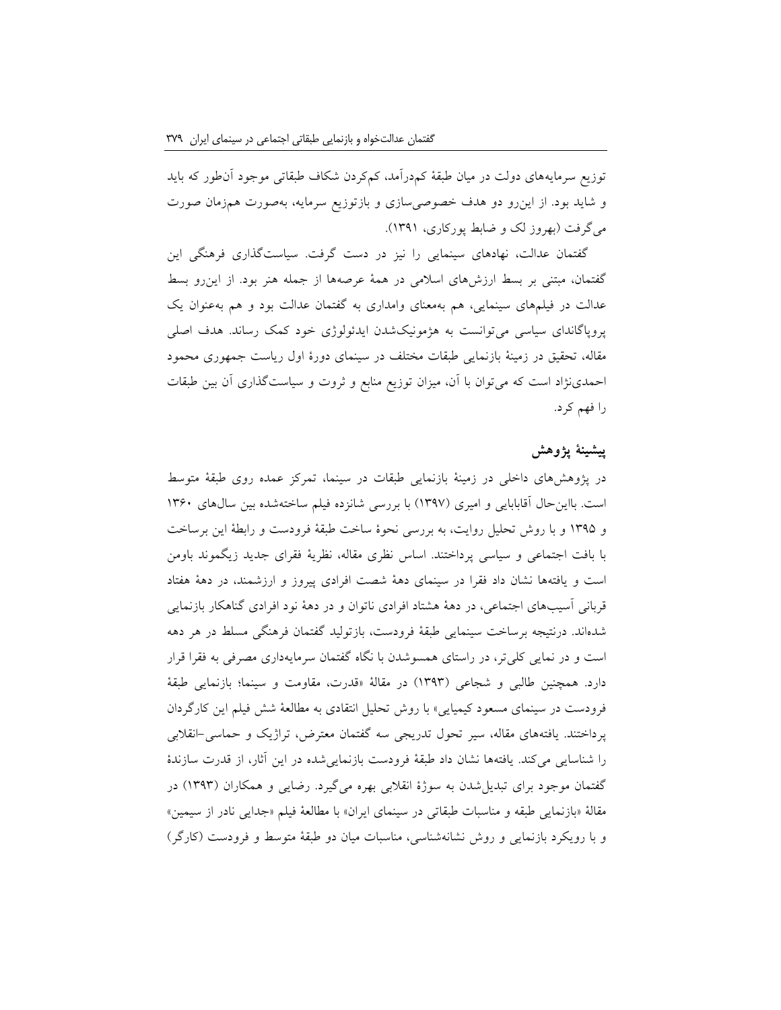توزیع سرمایههای دولت در میان طبقۀ کمدرآمد، کمکردن شکاف طبقاتی موجود آنطور که باید و شاید بود. از اینرو دو هدف خصوصیسازی و بازتوزیع سرمایه، بهصورت همزمان صورت میگرفت )بهروز لک و ضابط پورکاری، 1391(.

گفتمان عدالت، نهادهای سینمایی را نیز در دست گرفت. سیاستگذاری فرهنگی این گفتمان، مبتنی بر بسط ارزشهای اسالمی در همۀ عرصهها از جمله هنر بود. از اینرو بسط عدالت در فیلمهای سینمایی، هم بهمعنای وامداری به گفتمان عدالت بود و هم بهعنوان یک پروپاگاندای سیاسی میتوانست به هژمونیکشدن ایدئولوژی خود کمک رساند. هدف اصلی مقاله، تحقیق در زمینۀ بازنمایی طبقات مختلف در سینمای دورۀ اول ریاست جمهوری محمود احمدینژاد است که میتوان با آن، میزان توزیع منابع و ثروت و سیاستگذاری آن بین طبقات را فهم کرد.

## **پیشینۀ پژوهش**

در پژوهشهای داخلی در زمینۀ بازنمایی طبقات در سینما، تمرکز عمده روی طبقۀ متوسط است. بااین حال آقابابایی و امیری (۱۳۹۷) با بررسی شانزده فیلم ساختهشده بین سالهای ۱۳۶۰ و 1395 و با روش تحلیل روایت، به بررسی نحوۀ ساخت طبقۀ فرودست و رابطۀ این برساخت با بافت اجتماعی و سیاسی پرداختند. اساس نظری مقاله، نظریۀ فقرای جدید زیگموند باومن است و یافتهها نشان داد فقرا در سینمای دهۀ شصت افرادی پیروز و ارزشمند، در دهۀ هفتاد قربانی آسیبهای اجتماعی، در دهۀ هشتاد افرادی ناتوان و در دهۀ نود افرادی گناهکار بازنمایی شدهاند. درنتیجه برساخت سینمایی طبقۀ فرودست، بازتولید گفتمان فرهنگی مسلط در هر دهه است و در نمایی کلیتر، در راستای همسوشدن با نگاه گفتمان سرمایهداری مصرفی به فقرا قرار دارد. همچنین طالبی و شجاعی )1393( در مقالۀ »قدرت، مقاومت و سینما؛ بازنمایی طبقۀ فرودست در سینمای مسعود کیمیایی« با روش تحلیل انتقادی به مطالعۀ شش فیلم این کارگردان پرداختند. یافتههای مقاله، سیر تحول تدریجی سه گفتمان معترض، تراژیک و حماسی-انقالبی را شناسایی میکند. یافتهها نشان داد طبقۀ فرودست بازنماییشده در این آثار، از قدرت سازندۀ گفتمان موجود برای تبدیلشدن به سوژۀ انقالبی بهره میگیرد. رضایی و همکاران )1393( در مقالۀ «بازنمایی طبقه و مناسبات طبقاتی در سینمای ایران» با مطالعۀ فیلم «جدایی نادر از سیمین» و با رویکرد بازنمایی و روش نشانهشناسی، مناسبات میان دو طبقۀ متوسط و فرودست )کارگر(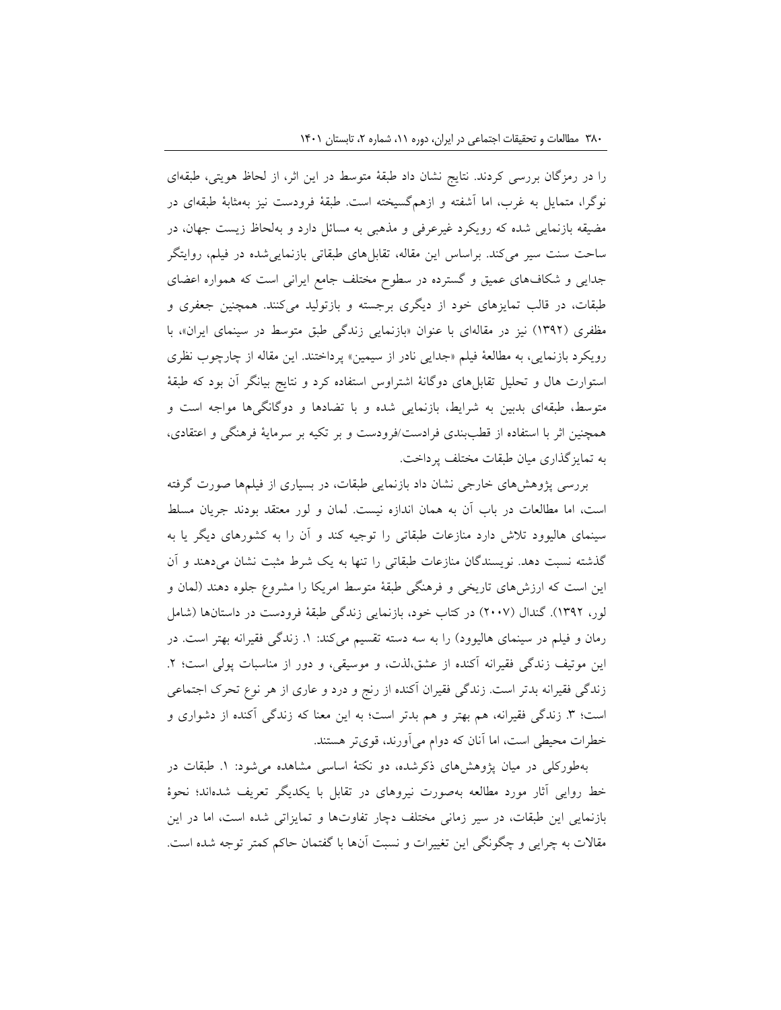را در رمزگان بررسی کردند. نتایج نشان داد طبقۀ متوسط در این اثر، از لحاظ هویتی، طبقهای نوگرا، متمایل به غرب، اما آشفته و ازهمگسیخته است. طبقۀ فرودست نیز بهمثابۀ طبقهای در مضیقه بازنمایی شده که رویکرد غیرعرفی و مذهبی به مسائل دارد و بهلحاظ زیست جهان، در ساحت سنت سیر میکند. براساس این مقاله، تقابلهای طبقاتی بازنماییشده در فیلم، روایتگر جدایی و شکافهای عمیق و گسترده در سطوح مختلف جامع ایرانی است که همواره اعضای طبقات، در قالب تمایزهای خود از دیگری برجسته و بازتولید میکنند. همچنین جعفری و مظفری (۱۳۹۲) نیز در مقالهای با عنوان «بازنمایی زندگی طبق متوسط در سینمای ایران»، با رویکرد بازنمایی، به مطالعۀ فیلم »جدایی نادر از سیمین« پرداختند. این مقاله از چارچوب نظری استوارت هال و تحلیل تقابلهای دوگانۀ اشتراوس استفاده کرد و نتایج بیانگر آن بود که طبقۀ متوسط، طبقهای بدبین به شرایط، بازنمایی شده و با تضادها و دوگانگیها مواجه است و همچنین اثر با استفاده از قطببندی فرادست/فرودست و بر تکیه بر سرمایۀ فرهنگی و اعتقادی، به تمایزگذاری میان طبقات مختلف پرداخت.

بررسی پژوهشهای خارجی نشان داد بازنمایی طبقات، در بسیاری از فیلمها صورت گرفته است، اما مطالعات در باب آن به همان اندازه نیست. لمان و لور معتقد بودند جریان مسلط سینمای هالیوود تالش دارد منازعات طبقاتی را توجیه کند و آن را به کشورهای دیگر یا به گذشته نسبت دهد. نویسندگان منازعات طبقاتی را تنها به یک شرط مثبت نشان میدهند و آن این است که ارزشهای تاریخی و فرهنگی طبقۀ متوسط امریکا را مشروع جلوه دهند )لمان و لور، 1392(. گندال )2007( در کتاب خود، بازنمایی زندگی طبقۀ فرودست در داستانها )شامل رمان و فیلم در سینمای هالیوود) را به سه دسته تقسیم میکند: ۱. زندگی فقیرانه بهتر است. در این موتیف زندگی فقیرانه آکنده از عشق،لذت، و موسیقی، و دور از مناسبات پولی است؛ ۲. زندگی فقیرانه بدتر است. زندگی فقیران آکنده از رنج و درد و عاری از هر نوع تحرک اجتماعی است؛ ٣. زندگی فقیرانه، هم بهتر و هم بدتر است؛ به این معنا که زندگی آکنده از دشواری و خطرات محیطی است، اما آنان که دوام میآورند، قویتر هستند.

بهطورکلی در میان پژوهشهای ذکرشده، دو نکتۀ اساسی مشاهده میشود: .1 طبقات در خط روایی آثار مورد مطالعه بهصورت نیروهای در تقابل با یکدیگر تعریف شدهاند؛ نحوۀ بازنمایی این طبقات، در سیر زمانی مختلف دچار تفاوتها و تمایزاتی شده است، اما در این مقاالت به چرایی و چگونگی این تغییرات و نسبت آنها با گفتمان حاکم کمتر توجه شده است.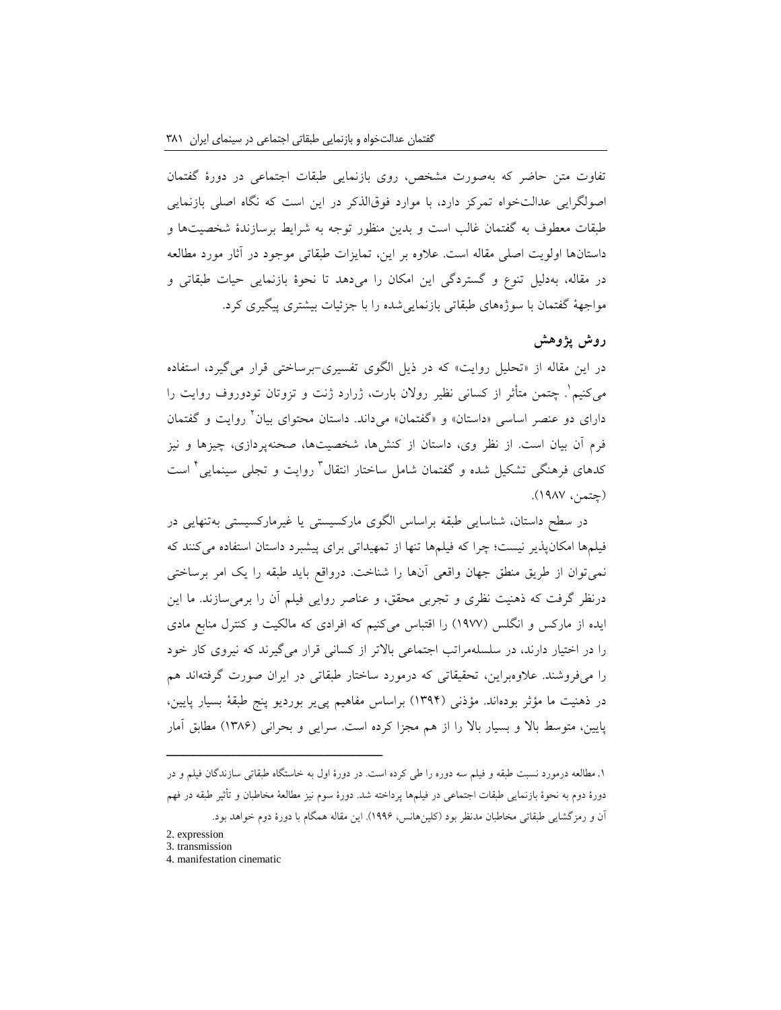تفاوت متن حاضر که بهصورت مشخص، روی بازنمایی طبقات اجتماعی در دورۀ گفتمان اصولگرایی عدالتخواه تمرکز دارد، با موارد فوقالذکر در این است که نگاه اصلی بازنمایی طبقات معطوف به گفتمان غالب است و بدین منظور توجه به شرایط برسازندۀ شخصیتها و داستانها اولویت اصلی مقاله است. عالوه بر این، تمایزات طبقاتی موجود در آثار مورد مطالعه در مقاله، بهدلیل تنوع و گستردگی این امکان را میدهد تا نحوۀ بازنمایی حیات طبقاتی و مواجهۀ گفتمان با سوژههای طبقاتی بازنماییشده را با جزئیات بیشتری پیگیری کرد.

# **روش پژوهش**

در این مقاله از »تحلیل روایت« که در ذیل الگوی تفسیری-برساختی قرار میگیرد، استفاده میکنیم 1 . چتمن متأثر از کسانی نظیر روالن بارت، ژرارد ژنت و تزوتان تودوروف روایت را دارای دو عنصر اساسی «داستان» و «گفتمان» میداند. داستان محتوای بیان ٔ روایت و گفتمان فرم آن بیان است. از نظر وی، داستان از کنشها، شخصیتها، صحنهپردازی، چیزها و نیز کدهای فرهنگی تشکیل شده و گفتمان شامل ساختار انتقال<sup>۲</sup> روایت و تجلی سینمایی<sup>۲</sup> است )چتمن، 1987(.

در سطح داستان، شناسایی طبقه براساس الگوی مارکسیستی یا غیرمارکسیستی بهتنهایی در فیلمها امکانپذیر نیست؛ چرا که فیلمها تنها از تمهیداتی برای پیشبرد داستان استفاده می کنند که نمیتوان از طریق منطق جهان واقعی آنها را شناخت. درواقع باید طبقه را یک امر برساختی درنظر گرفت که ذهنیت نظری و تجربی محقق، و عناصر روایی فیلم آن را برمیسازند. ما این ایده از مارکس و انگلس )1977( را اقتباس میکنیم که افرادی که مالکیت و کنترل منابع مادی را در اختیار دارند، در سلسلهمراتب اجتماعی باالتر از کسانی قرار میگیرند که نیروی کار خود را میفروشند. عالوهبراین، تحقیقاتی که درمورد ساختار طبقاتی در ایران صورت گرفتهاند هم در ذهنیت ما مؤثر بودهاند. مؤذنی )1394( براساس مفاهیم پییر بوردیو پنج طبقۀ بسیار پایین، پایین، متوسط باال و بسیار باال را از هم مجزا کرده است. سرایی و بحرانی )1386( مطابق آمار

.1 مطالعه درمورد نسبت طبقه و فیلم سه دوره را طی کرده است. در دورۀ اول به خاستگاه طبقاتی سازندگان فیلم و در دورۀ دوم به نحوۀ بازنمایی طبقات اجتماعی در فیلمها پرداخته شد. دورۀ سوم نیز مطالعۀ مخاطبان و تأثیر طبقه در فهم آن و رمزگشایی طبقاتی مخاطبان مدنظر بود )کلینهانس، 1996(. این مقاله همگام با دورۀ دوم خواهد بود.

- 2. expression
- 3. transmission
- 4. manifestation cinematic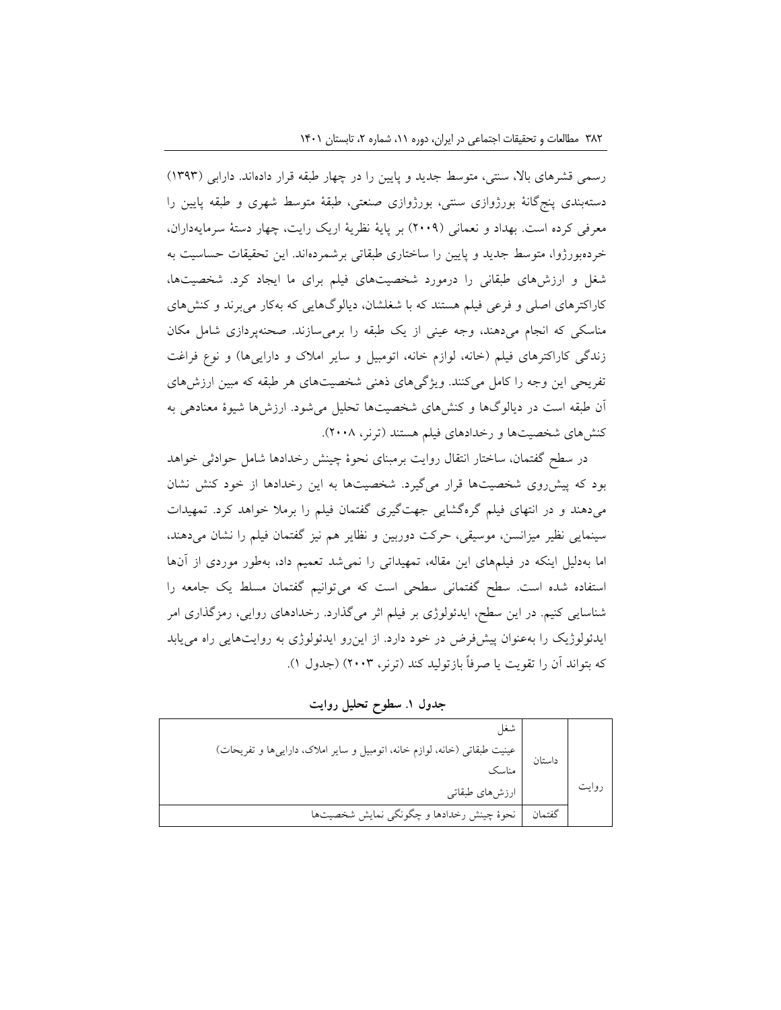رسمی قشرهای بالا، سنتی، متوسط جدید و پایین را در چهار طبقه قرار دادهاند. دارابی (۱۳۹۳) دستهبندی پنجگانۀ بورژوازی سنتی، بورژوازی صنعتی، طبقۀ متوسط شهری و طبقه پایین را معرفی کرده است. بهداد و نعمانی )2009( بر پایۀ نظریۀ اریک رایت، چهار دستۀ سرمایهداران، خردهبورژوا، متوسط جدید و پایین را ساختاری طبقاتی برشمردهاند. این تحقیقات حساسیت به شغل و ارزشهای طبقانی را درمورد شخصیتهای فیلم برای ما ایجاد کرد. شخصیتها، کاراکترهای اصلی و فرعی فیلم هستند که با شغلشان، دیالوگهایی که بهکار میبرند و کنشهای مناسکی که انجام میدهند، وجه عینی از یک طبقه را برمیسازند. صحنهپردازی شامل مکان زندگی کاراکترهای فیلم (خانه، لوازم خانه، اتومبیل و سایر املاک و داراییها) و نوع فراغت تفریحی این وجه را کامل میکنند. ویژگیهای ذهنی شخصیتهای هر طبقه که مبین ارزشهای آن طبقه است در دیالوگها و کنشهای شخصیتها تحلیل میشود. ارزشها شیوۀ معنادهی به کنش های شخصیتها و رخدادهای فیلم هستند (ترنر، ۲۰۰۸).

در سطح گفتمان، ساختار انتقال روایت برمبنای نحوۀ چینش رخدادها شامل حوادثی خواهد بود که پیشروی شخصیتها قرار میگیرد. شخصیتها به این رخدادها از خود کنش نشان میدهند و در انتهای فیلم گرهگشایی جهتگیری گفتمان فیلم را برمال خواهد کرد. تمهیدات سینمایی نظیر میزانسن، موسیقی، حرکت دوربین و نظایر هم نیز گفتمان فیلم را نشان میدهند، اما بهدلیل اینکه در فیلمهای این مقاله، تمهیداتی را نمیشد تعمیم داد، بهطور موردی از آنها استفاده شده است. سطح گفتمانی سطحی است که میتوانیم گفتمان مسلط یک جامعه را شناسایی کنیم. در این سطح، ایدئولوژی بر فیلم اثر میگذارد. رخدادهای روایی، رمزگذاری امر ایدئولوژیک را بهعنوان پیشفرض در خود دارد. از اینرو ایدئولوژی به روایتهایی راه مییابد که بتواند آن را تقویت یا صرفاً بازتولید کند )ترنر، 2003( )جدول 1(.

**جدول .۱ سطوح تحلیل روایت**

|        | داستان   عینیت طبقاتی (خانه، لوازم خانه، اتومبیل و سایر املاک، داراییها و تفریحات)<br>  مناسک |       |
|--------|-----------------------------------------------------------------------------------------------|-------|
|        |                                                                                               |       |
|        | <br>  ارزشهای طبقاتی                                                                          | روايت |
| گفتمان | نحوهٔ چینش رخدادها و چگونگی نمایش شخصیتها                                                     |       |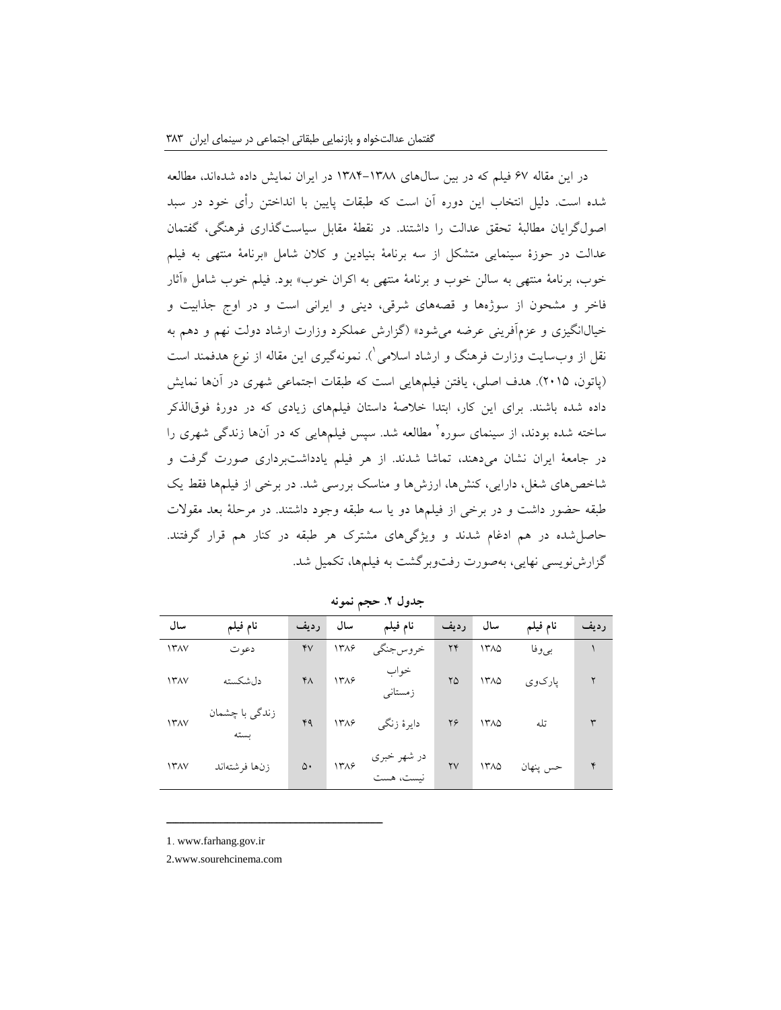در این مقاله 67 فیلم که در بین سالهای 1384-1388 در ایران نمایش داده شدهاند، مطالعه شده است. دلیل انتخاب این دوره آن است که طبقات پایین با انداختن رأی خود در سبد اصولگرایان مطالبۀ تحقق عدالت را داشتند. در نقطۀ مقابل سیاستگذاری فرهنگی، گفتمان عدالت در حوزۀ سینمایی متشکل از سه برنامۀ بنیادین و کالن شامل »برنامۀ منتهی به فیلم خوب، برنامۀ منتهی به سالن خوب و برنامۀ منتهی به اکران خوب« بود. فیلم خوب شامل »آثار فاخر و مشحون از سوژهها و قصههای شرقی، دینی و ایرانی است و در اوج جذابیت و خیال|نگیزی و عزمآفرینی عرضه می شود» (گزارش عملکرد وزارت ارشاد دولت نهم و دهم به نقل از وب $\omega$ ایت وزارت فرهنگ و ارشاد اسلامی $\langle$ ). نمونهگیری این مقاله از نوع هدفمند است )پاتون، 2015(. هدف اصلی، یافتن فیلمهایی است که طبقات اجتماعی شهری در آنها نمایش داده شده باشند. برای این کار، ابتدا خالصۀ داستان فیلمهای زیادی که در دورۀ فوقالذکر ساخته شده بودند، از سینمای سوره<sup>٬</sup> مطالعه شد. سپس فیلمهایی که در آنها زندگی شهری را در جامعۀ ایران نشان میدهند، تماشا شدند. از هر فیلم یادداشتبرداری صورت گرفت و شاخصهای شغل، دارایی، کنشها، ارزشها و مناسک بررسی شد. در برخی از فیلمها فقط یک طبقه حضور داشت و در برخی از فیلمها دو یا سه طبقه وجود داشتند. در مرحلۀ بعد مقوالت حاصلشده در هم ادغام شدند و ویژگیهای مشترک هر طبقه در کنار هم قرار گرفتند. گزارشنویسی نهایی، بهصورت رفتوبرگشت به فیلمها، تکمیل شد.

| سال                | نام فيلم                        | رديف      | سال  | نام فيلم                | رديف | سال               | نام فيلم | رديف |
|--------------------|---------------------------------|-----------|------|-------------------------|------|-------------------|----------|------|
| <b>ITAV</b>        | دعو ت                           | ۴V        | ۱۳۸۶ | خروس جنگي               | ۲۴   | ۱۳۸۵              | بيوفا    |      |
| <b>ITAV</b>        | دلشكسته                         | $Y\wedge$ | ۱۳۸۶ | خواب<br>زمستانی         | ۲۵   | ۱۳۸۵              | پارکوي   | ٢    |
| <b><i>ITAV</i></b> | زن <i>د</i> گی با چشمان<br>ىستە | ۴۹        | 1٣٨۶ | دايرهٔ زنگي             | ۲۶   | 1٣٨٥              | تله      | ٣    |
| <b><i>ITAV</i></b> | زنها فرشتهاند                   | ۵۰        | 1٣٨۶ | در شهر خبري<br>نست، هست | YV   | $17\lambda\Delta$ | حس پنهان | ۴    |

**جدول .2 حجم نمونه**

1. www.farhang.gov.ir

2.www.sourehcinema.com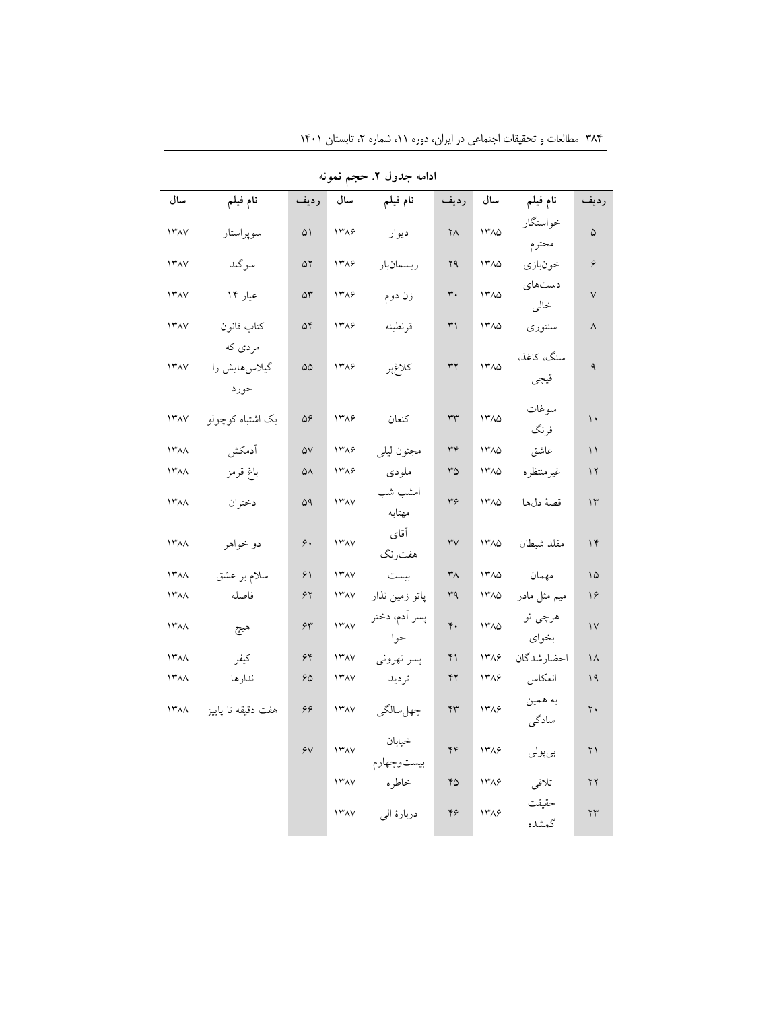| ادامه جدول ۲. حجم نمونه |                                  |                     |                    |                       |                   |                   |                    |                        |
|-------------------------|----------------------------------|---------------------|--------------------|-----------------------|-------------------|-------------------|--------------------|------------------------|
| سال                     | نام فيلم                         | رديف                | سال                | نام فيلم              | رديف              | سال               | نام فيلم           | رديف                   |
| ۱۳۸۷                    | سوپراستار                        | ۵۱                  | ۱۳۸۶               | ديوار                 | ۲۸                | 1٣٨٥              | خواستگار<br>محترم  | ۵                      |
| <b><i>ITAV</i></b>      | سوگند                            | ۵۲                  | 1٣٨۶               | ريسمانباز             | ۲۹                | 1710              | خونبازي            | ۶                      |
| 17AV                    | عیار ۱۴                          | $\Delta \mathsf{r}$ | 1٣٨۶               | زن دوم                | $\mathsf{r}\cdot$ | 1٣٨٥              | دستهای<br>خالى     | $\checkmark$           |
| <b>ITAV</b>             | كتاب قانون                       | ۵۴                  | 1٣٨۶               | قرنطينه               | $\uparrow$        | 1710              | سنتورى             | $\wedge$               |
| $117\lambda V$          | مردي كه<br>گیلاس هایش را<br>خورد | ۵۵                  | ١٣٨۶               | كلاغپر                | ٣٢                | 1710              | سنگ، كاغذ،<br>قيچي | ٩                      |
| $117\lambda V$          | یک اشتباه کوچولو                 | ۵۶                  | 14749              | كنعان                 | $\tau\tau$        | 1400              | سوغات<br>فرنگ      | $\mathcal{L}$          |
| $\Upsilon$              | أدمكش                            | $\Delta V$          | 1٣٨۶               | مجنون ليلي            | ٣۴                | 1710              | عاشق               | ۱۱                     |
| ۱۳۸۸                    | باغ قرمز                         | ۵۸                  | ۱۳۸۶               | ملودى                 | ٣۵                | $17\lambda\Delta$ | غيرمنتظره          | $\gamma$               |
| <b><i>ITAA</i></b>      | دختران                           | ۵۹                  | <b><i>ITAV</i></b> | امشب شب<br>مهتابه     | ٣۶                | 1710              | قصهٔ دلها          | $\gamma$               |
| <b><i>ITAA</i></b>      | دو خواهر                         | ۶.                  | $11^{\circ}$       | آقاي<br>هفترنگ        | rv                | 1710              | مقلد شيطان         | $\gamma$               |
| ۱۳۸۸                    | سلام بر عشق                      | ۶۱                  | $11^{\circ}$       | بيست                  | ٣٨                | 1٣٨٥              | مهمان              | ۱۵                     |
| ۱۳۸۸                    | فاصله                            | ۶۲                  | $11^{\circ}$       | پاتو زمین نذار        | ٣٩                | 1710              | میم مثل مادر       | ۱۶                     |
| $14\pi$                 | هيج                              | $\gamma\gamma$      | 117AV              | پسر اَدم، دختر<br>حوا | ۴.                | 1710              | هرچي تو<br>بخواي   | $\vee$                 |
| $14\pi$                 | كيفر                             | ۶۴                  | <b><i>ITAV</i></b> | پسر تهروني            | ۴۱                | 1٣٨۶              | احضارشدگان         | ۱۸                     |
| $\Upsilon$              | ندارها                           | ۶۵                  | $11^{\circ}$       | ترديد                 | ۴۲                | 1388              | انعكاس             | 19                     |
| ۱۳۸۸                    | هفت دقيقه تا پاييز               | ۶۶                  | <b><i>ITAV</i></b> | چهلسالگي              | ۴٣                | 1٣٨۶              | به همين<br>سادگی   | $\mathsf{Y}$ .         |
|                         |                                  | ۶V                  | 117AV              | خيابان<br>بيستوچهارم  | ۴۴                | 1٣٨۶              | بىپولى             | ۲۱                     |
|                         |                                  |                     | <b>ITAV</b>        | خاطره                 | ۴۵                | 1٣٨۶              | تلافي              | ٢٢                     |
|                         |                                  |                     | <b><i>ITAV</i></b> | دربارهٔ الی           | ۴۶                | 1٣٨۶              | حقىقت<br>گمشده     | $\mathsf{Y}\mathsf{Y}$ |

۳۸۴ مطالعات و تحقیقات اجتماعی در ایران، دوره ۱۱، شماره ۲، تابستان ۱۴۰۱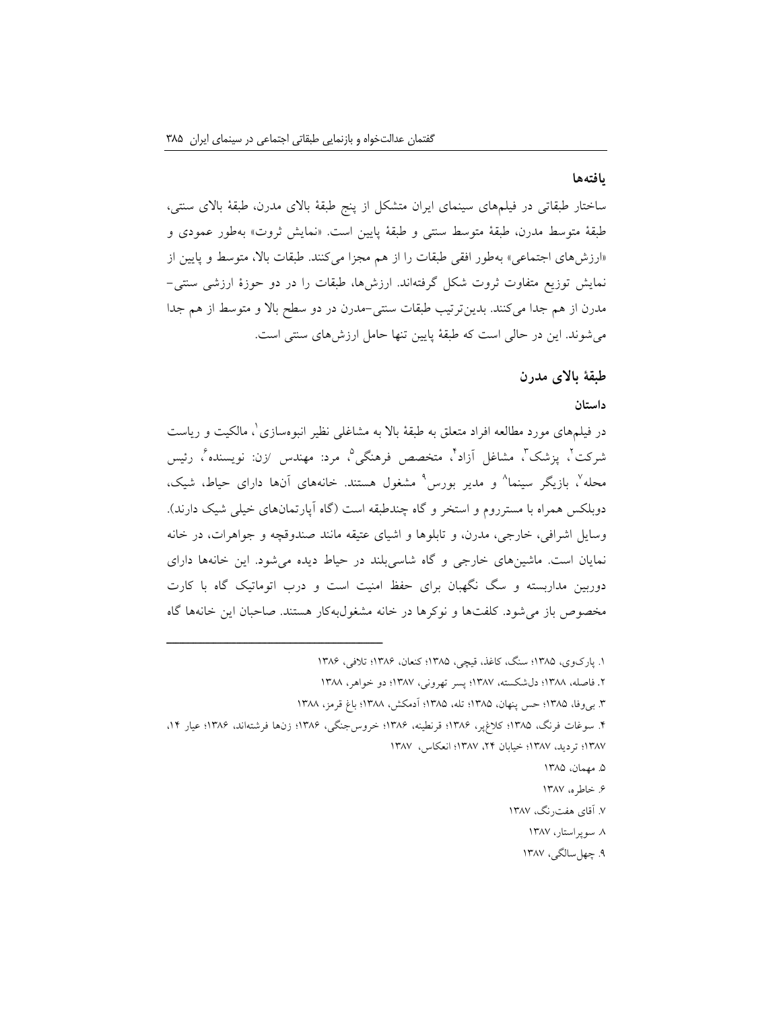#### **یافتهها**

ساختار طبقاتی در فیلمهای سینمای ایران متشکل از پنج طبقۀ باالی مدرن، طبقۀ باالی سنتی، طبقۀ متوسط مدرن، طبقۀ متوسط سنتی و طبقۀ پایین است. »نمایش ثروت« بهطور عمودی و »ارزشهای اجتماعی« بهطور افقی طبقات را از هم مجزا میکنند. طبقات باال، متوسط و پایین از نمایش توزیع متفاوت ثروت شکل گرفتهاند. ارزشها، طبقات را در دو حوزۀ ارزشی سنتی- مدرن از هم جدا میکنند. بدینترتیب طبقات سنتی-مدرن در دو سطح باال و متوسط از هم جدا میشوند. این در حالی است که طبقۀ پایین تنها حامل ارزشهای سنتی است.

# **طبقۀ باالی مدرن**

#### **داستان**

در فیلمهای مورد مطالعه افراد متعلق به طبقۀ بالا به مشاغلی نظیر انبوهسازی ْ، مالکیت و ریاست ثىركت ً، پزشك ً، مشاغل اَزاد ً، متخصص فرهنگى<sup>0</sup>، مرد: مهندس ⁄زن: نویسنده ً، رئیس محله'، بازیگر سینما<sup>^</sup> و مدیر بورس<sup>۹</sup> مشغول هستند. خانههای آنها دارای حیاط، شیک، دوبلکس همراه با مسترروم و استخر و گاه چندطبقه است (گاه آپارتمانهای خیلی شیک دارند). وسایل اشرافی، خارجی، مدرن، و تابلوها و اشیای عتیقه مانند صندوقچه و جواهرات، در خانه نمایان است. ماشینهای خارجی و گاه شاسیبلند در حیاط دیده میشود. این خانهها دارای دوربین مداربسته و سگ نگهبان برای حفظ امنیت است و درب اتوماتیک گاه با کارت مخصوص باز میشود. کلفتها و نوکرها در خانه مشغولبهکار هستند. صاحبان این خانهها گاه

.2 فاصله، 1388؛ دلشکسته، 1387؛ پسر تهرونی، 1387؛ دو خواهر، 1388

- .5 مهمان، 1385
- ۶. خاطره، ۱۳۸۷
- .7 آقای هفترنگ، 1387
	- .8 سوپراستار، 1387
	- .9 چهلسالگی، 1387

<sup>.1</sup> پارکوی، 1385؛ سنگ، کاغذ، قیچی، 1385؛ کنعان، 1386؛ تالفی، 1386

<sup>.3</sup> بیوفا، 1385؛ حس پنهان، 1385؛ تله، 1385؛ آدمکش، 1388؛ باغ قرمز، 1388

<sup>.4</sup> سوغات فرنگ، 1385؛ کالغپر، 1386؛ قرنطینه، 1386؛ خروسجنگی، 1386؛ زنها فرشتهاند، 1386؛ عیار ،14 1387؛ تردید، 1387؛ خیابان ،24 1387؛ انعکاس، 1387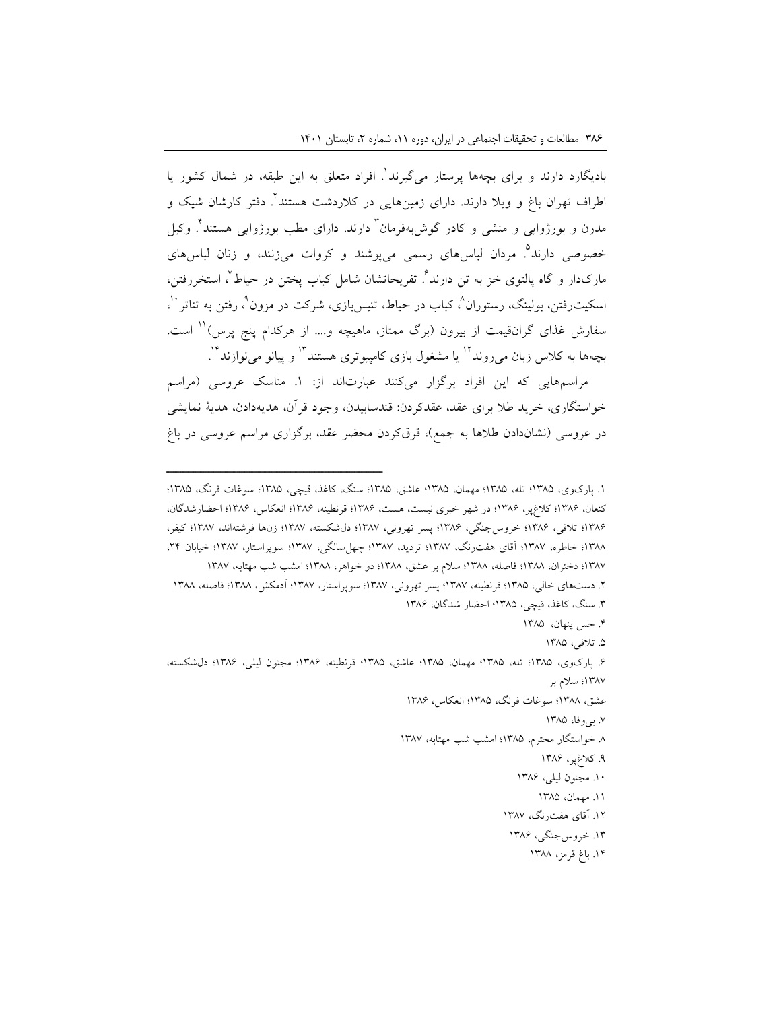بادیگارد دارند و برای بچهها پرستار میگیرند<sup>'</sup>. افراد متعلق به این طبقه، در شمال کشور یا 2 اطراف تهران باغ و ویال دارند. دارای زمینهایی در کالردشت هستند . دفتر کارشان شیک و مدرن و بورژوایی و منشی و کادر گوش,بهفرمان<sup>۲</sup> دارند. دارای مطب بورژوایی هستند<sup>۲</sup>. وکیل خصوصی دارند<sup>۹</sup>. مردان لباسهای رسمی میپوشند و کروات میزنند، و زنان لباسهای مارک<code>دار و گاه پالتوی خز به تن دارند ⁄ تفریحاتشان شامل کباب پختن در حیاط ⁄، استخررفتن،</mark></code> سکیت٫فتن، بولینگ، رستوران^، کباب در حیاط، تنیسبازی، شرکت در مزون"، رفتن به تئاتر ``، سفارش غذای گرانقیمت از بیرون (برگ ممتاز، ماهیچه و.... از هرکدام پنج پرس) ۱٬ است. بچهها به کلاس زبان م<sub>ی</sub>روند<sup>۱۲</sup> یا مشغول بازی کامپیوتری هستند<sup>۱۲</sup> و پیانو می $i$ وازند .

مراسمهایی که این افراد برگزار میکنند عبارتاند از: .1 مناسک عروسی )مراسم خواستگاری، خرید طال برای عقد، عقدکردن: قندسابیدن، وجود قرآن، هدیهدادن، هدیۀ نمایشی در عروسی (نشاندادن طلاها به جمع)، قرقکردن محضر عقد، برگزاری مراسم عروسی در باغ

- .4 حس پنهان، 1385
	- .5 تالفی، 1385

- عشق، 1388؛ سوغات فرنگ، 1385؛ انعکاس، 1386
	- .7 بیوفا، 1385
- .8 خواستگار محترم، 1385؛ امشب شب مهتابه، 1387
	- .9 کالغپر، 1386
	- .10 مجنون لیلی، 1386
		- .11 مهمان، 1385
	- .12 آقای هفترنگ، 1387
	- .13 خروسجنگی، 1386
		- .14 باغ قرمز، 1388

<sup>.</sup>1 پارکوی، 1385؛ تله، 1385؛ مهمان، 1385؛ عاشق، 1385؛ سنگ، کاغذ، قیچی، 1385؛ سوغات فرنگ، 1385؛ کنعان، 1386؛ کالغپر، 1386؛ در شهر خبری نیست، هست، 1386؛ قرنطینه، 1386؛ انعکاس، 1386؛ احضارشدگان، ۱۳۸۶؛ تلافی، ۱۳۸۶؛ خروس جنگی، ۱۳۸۶؛ پسر تهرونی، ۱۳۸۷؛ دلشکسته، ۱۳۸۷؛ زنها فرشتهاند، ۱۳۸۷؛ کیفر، ۱۳۸۸؛ خاطره، ۱۳۸۷؛ آقای هفترنگ، ۱۳۸۷؛ تردید، ۱۳۸۷؛ چهلسالگی، ۱۳۸۷؛ سوپراستار، ۱۳۸۷؛ خیابان ۲۴، 1387؛ دختران، 1388؛ فاصله، 1388؛ سالم بر عشق، 1388؛ دو خواهر، 1388؛ امشب شب مهتابه، 1387 .2 دستهای خالی، 1385؛ قرنطینه، 1387؛ پسر تهرونی، 1387؛ سوپراستار، 1387؛ آدمکش، 1388؛ فاصله، 1388 .3 سنگ، کاغذ، قیچی، 1385؛ احضار شدگان، 1386

<sup>.6</sup> پارکوی، 1385؛ تله، 1385؛ مهمان، 1385؛ عاشق، 1385؛ قرنطینه، 1386؛ مجنون لیلی، 1386؛ دلشکسته، 1387؛ سالم بر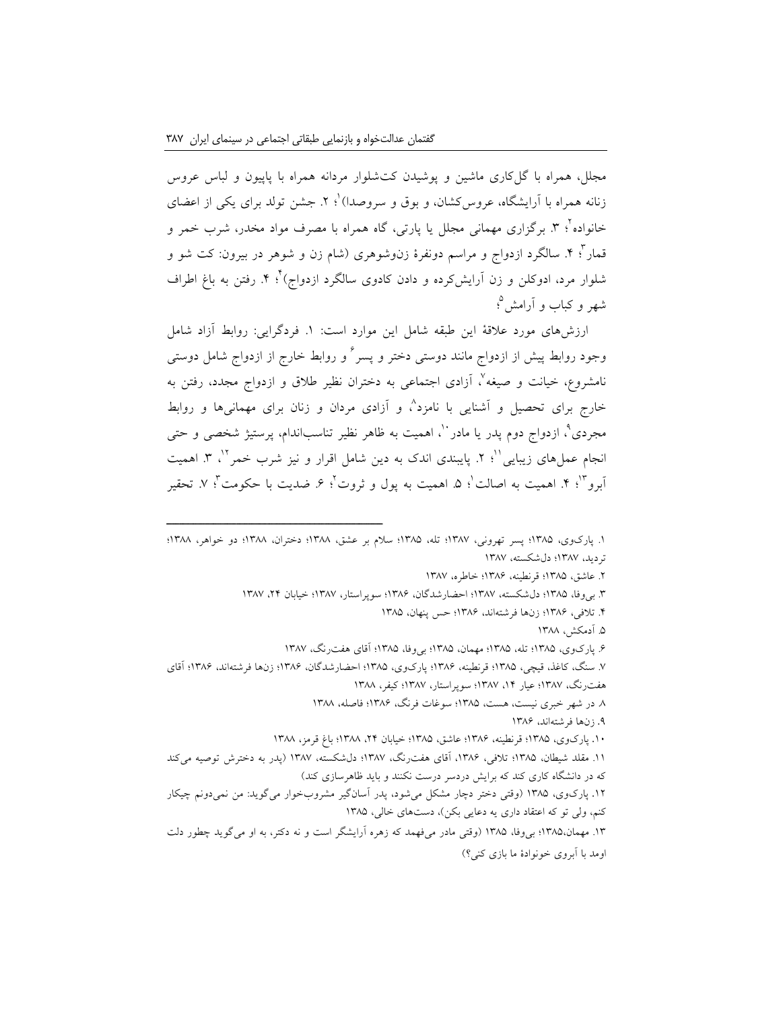مجلل، همراه با گلکاری ماشین و پوشیدن کتشلوار مردانه همراه با پاپیون و لباس عروس زنانه همراه با آرایشگاه، عروس کشان، و بوق و سروصدا) ٔ: ۲. جشن تولد برای یکی از اعضای خانواده ٔ؛ ۳. برگزاری مهمانی مجلل یا پارتی، گاه همراه با مصرف مواد مخدر، شرب خمر و قمار '؛ ۴. سالگرد ازدواج و مراسم دونفرۀ زنوشوهری (شام زن و شوهر در بیرون: کت شو و شلوار مرد، ادوکلن و زن آرایشکرده و دادن کادوی سالگرد ازدواج)<sup>۲</sup>. ۴<sub>.</sub> رفتن به باغ اطراف 5 شهر و کباب و آرامش ؛

ارزشهای مورد عالقۀ این طبقه شامل این موارد است: .1 فردگرایی: روابط آزاد شامل وجود روابط پیش از ازدواج مانند دوستی دختر و پسر<sup>۲</sup> و روابط خارج از ازدواج شامل دوستی نامشروع، خیانت و صیغه'، آزادی اجتماعی به دختران نظیر طلاق و ازدواج مجدد، رفتن به خارج برای تحصیل و آشنایی با نامزد^، و آزادی مردان و زنان برای مهمانیها و روابط مجردی"، ازدواج دوم پدر یا مادر ``، اهمیت به ظاهر نظیر تناسباندام، پرستیژ شخصی و حتی نجام عمل،های زیبایی ``؛ ۲. پایبندی اندک به دین شامل اقرار و نیز شرب خمر ``، ۳. اهمیت أبرو ٔ ا ۴. اهمیت به اصالت ٰ؛ ۵. اهمیت به پول و ثروت ٔ؛ ۶. ضدیت با حکومت ٔ؛ ۷. تحقیر

- .2 عاشق، 1385؛ قرنطینه، 1386؛ خاطره، 1387
- .3 بیوفا، 1385؛ دلشکسته، 1387؛ احضارشدگان، 1386؛ سوپراستار، 1387؛ خیابان ،24 1387
	- .4 تالفی، 1386؛ زنها فرشتهاند، 1386؛ حس پنهان، 1385
		- .5 آدمکش، 1388
	- .6 پارکوی، 1385؛ تله، 1385؛ مهمان، 1385؛ بیوفا، 1385؛ آقای هفترنگ، 1387
- .7 سنگ، کاغذ، قیچی، 1385؛ قرنطینه، 1386؛ پارکوی، 1385؛ احضارشدگان، 1386؛ زنها فرشتهاند، 1386؛ آقای هفترنگ، 1387؛ عیار ،14 1387؛ سوپراستار، 1387؛ کیفر، 1388
	- .8 در شهر خبری نیست، هست، 1385؛ سوغات فرنگ، 1386؛ فاصله، 1388
		- .9 زنها فرشتهاند، 1386
	- .10 پارکوی، 1385؛ قرنطینه، 1386؛ عاشق، 1385؛ خیابان ،24 1388؛ باغ قرمز، 1388
- .11 مقلد شیطان، 1385؛ تالفی، ،1386 آقای هفترنگ، 1387؛ دلشکسته، 1387 )پدر به دخترش توصیه میکند که در دانشگاه کاری کند که برایش دردسر درست نکنند و باید ظاهرسازی کند( .12 پارکوی، 1385 )وقتی دختر دچار مشکل میشود، پدر آسانگیر مشروبخوار میگوید: من نمیدونم چیکار کنم، ولی تو که اعتقاد داری یه دعایی بکن)، دستهای خالی، ۱۳۸۵ .13 مهمان1385،؛ بیوفا، 1385 )وقتی مادر میفهمد که زهره آرایشگر است و نه دکتر، به او میگوید چطور دلت
- اومد با آبروی خونوادۀ ما بازی کنی؟(

<sup>.1</sup> پارکوی، 1385؛ پسر تهرونی، 1387؛ تله، 1385؛ سالم بر عشق، 1388؛ دختران، 1388؛ دو خواهر، 1388؛ تردید، 1387؛ دلشکسته، 1387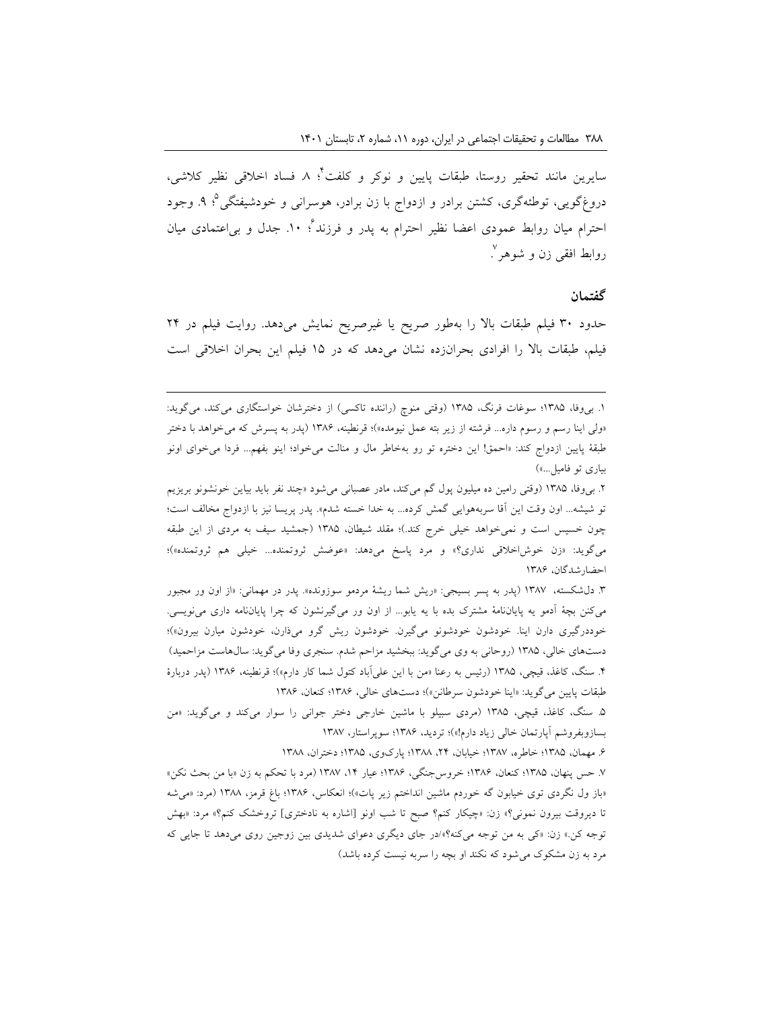4 سایرین مانند تحقیر روستا، طبقات پایین و نوکر و کلفت ؛ .8 فساد اخالقی نظیر کالشی، دروغ گویی، توطئهگری، کشتن برادر و ازدواج با زن برادر، هوسرانی و خودشیفتگی°؛ ۹. وجود 6 احترام میان روابط عمودی اعضا نظیر احترام به پدر و فرزند ؛ .10 جدل و بیاعتمادی میان روابط افقی زن و شوهر <sup>٬</sup> .

#### **گفتمان**

حدود 30 فیلم طبقات باال را بهطور صریح یا غیرصریح نمایش میدهد. روایت فیلم در 24 فیلم، طبقات باال را افرادی بحرانزده نشان میدهد که در 15 فیلم این بحران اخالقی است

1. بی وفا، ۱۳۸۵؛ سوغات فرنگ، ۱۳۸۵ (وقتی منوچ (راننده تاکسی) از دخترشان خواستگاری میکند، میگوید: «ولی اینا رسم و رسوم داره... فرشته از زیر بته عمل نیومده»)؛ قرنطینه، ۱۳۸۶ (پدر به پسرش که میخواهد با دختر طبقۀ پایین ازدواج کند: »احمق! این دختره تو رو بهخاطر مال و منالت میخواد؛ اینو بفهم... فردا میخوای اونو بیاری تو فامیل...»)

1

.2 بیوفا، 1385 )وقتی رامین ده میلیون پول گم میکند، مادر عصبانی میشود »چند نفر باید بیاین خونشونو بریزیم تو شیشه... اون وقت این آقا سربههوایی گمش کرده... به خدا خسته شدم». پدر پریسا نیز با ازدواج مخالف است؛ چون خسیس است و نمیخواهد خیلی خرج کند.(؛ مقلد شیطان، 1385 )جمشید سیف به مردی از این طبقه میگوید: «زن خوش|خلاقی نداری؟» و مرد پاسخ میدهد: «عوضش ثروتمنده... خیلی هم ثروتمنده»)؛ احضارشدگان، 1386

.3 دلشکسته، 1387 )پدر به پسر بسیجی: »ریش شما ریشۀ مردمو سوزونده«. پدر در مهمانی: »از اون ور مجبور میکنن بچۀ آدمو یه پایاننامۀ مشترک بده با یه یابو... از اون ور میگیرنشون که چرا پایاننامه داری مینویسی. خوددرگیری دارن اینا. خودشون خودشونو میگیرن. خودشون ریش گرو میذارن، خودشون میارن بیرون«(؛ دستهای خالی، 1385 )روحانی به وی میگوید: ببخشید مزاحم شدم. سنجری وفا میگوید: سالهاست مزاحمید( .4 سنگ، کاغذ، قیچی، 1385 )رئیس به رعنا »من با این علیآباد کتول شما کار دارم«(؛ قرنطینه، 1386 )پدر دربارۀ طبقات پایین میگوید: »اینا خودشون سرطانن«(؛ دستهای خالی، 1386؛ کنعان، 1386

.5 سنگ، کاغذ، قیچی، 1385 )مردی سبیلو با ماشین خارجی دختر جوانی را سوار میکند و میگوید: »من بسازوبفروشم آپارتمان خالی زیاد دارم!«(؛ تردید، 1386؛ سوپراستار، 1387

.6 مهمان، 1385؛ خاطره، 1387؛ خیابان، ،24 1388؛ پارکوی، 1385؛ دختران، 1388

.7 حس پنهان، 1385؛ کنعان، 1386؛ خروسجنگی، 1386؛ عیار ،14 1387 )مرد با تحکم به زن »با من بحث نکن« »باز ول نگردی توی خیابون گه خوردم ماشین انداختم زیر پات«(؛ انعکاس، 1386؛ باغ قرمز، 1388 )مرد: »میشه تا دیروقت بیرون نمونی؟« زن: »چیکار کنم؟ صبح تا شب اونو ]اشاره به نادختری[ تروخشک کنم؟« مرد: »بهش توجه کن.« زن: »کی به من توجه میکنه؟«/در جای دیگری دعوای شدیدی بین زوجین روی میدهد تا جایی که مرد به زن مشکوک میشود که نکند او بچه را سربه نیست کرده باشد(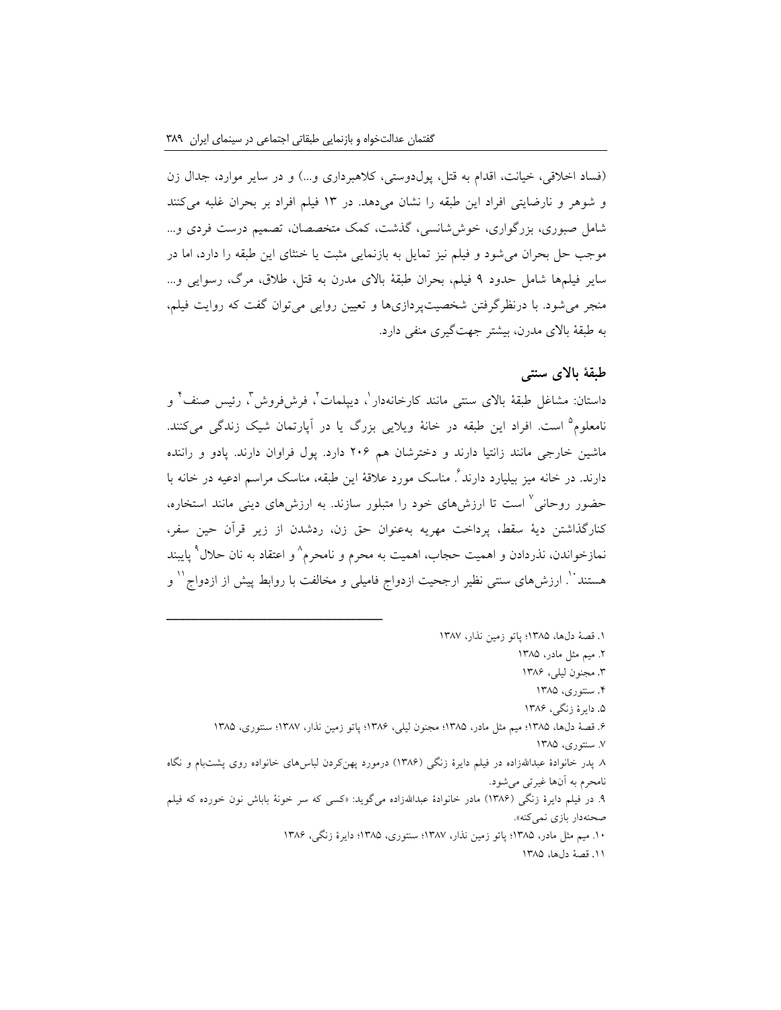)فساد اخالقی، خیانت، اقدام به قتل، پولدوستی، کالهبرداری و...( و در سایر موارد، جدال زن و شوهر و نارضایتی افراد این طبقه را نشان میدهد. در 13 فیلم افراد بر بحران غلبه میکنند شامل صبوری، بزرگواری، خوششانسی، گذشت، کمک متخصصان، تصمیم درست فردی و... موجب حل بحران میشود و فیلم نیز تمایل به بازنمایی مثبت یا خنثای این طبقه را دارد، اما در سایر فیلمها شامل حدود 9 فیلم، بحران طبقۀ باالی مدرن به قتل، طالق، مرگ، رسوایی و... منجر میشود. با درنظرگرفتن شخصیتپردازیها و تعیین روایی میتوان گفت که روایت فیلم، به طبقۀ باالی مدرن، بیشتر جهتگیری منفی دارد.

# **طبقۀ باالی سنتی**

داستان: مشاغل طبقۀ بالای سنتی مانند کارخانهدار ٰ، دیپلمات ٗ، فرشفروش ؒ، رئیس صنف ؑ و نامعلوم<sup>۵</sup> است. افراد این طبقه در خانۀ ویلایی بزرگ یا در آپارتمان شیک زندگی میکنند. ماشین خارجی مانند زانتیا دارند و دخترشان هم 206 دارد. پول فراوان دارند. پادو و راننده دارند. در خانه میز بیلیارد دارند<sup>٪</sup> مناسک مورد علاقۀ این طبقه، مناسک مراسم ادعیه در خانه با حضور روحانی<sup>۷</sup> است تا ارزشهای خود را متبلور سازند. به ارزشهای دینی مانند استخاره، کنارگذاشتن دیۀ سقط، پرداخت مهریه بهعنوان حق زن، ردشدن از زیر قرآن حین سفر، نمازخواندن، نذردادن و اهمیت حجاب، اهمیت به محرم و نامحرم^و اعتقاد به نان حلال° پایبند هستند``. ارزشهای سنتی نظیر ارجحیت ازدواج فامیلی و مخالفت با روابط پیش از ازدواج`` و

- .1 قصۀ دلها، 1385؛ پاتو زمین نذار، 1387
	- .2 میم مثل مادر، 1385
	- .3 مجنون لیلی، 1386
	- .4 سنتوری، 1385
	- .5 دایرۀ زنگی، 1386
- .6 قصۀ دلها، 1385؛ میم مثل مادر، 1385؛ مجنون لیلی، 1386؛ پاتو زمین نذار، 1387؛ سنتوری، 1385
	- .7 سنتوری، 1385
- .8 پدر خانوادۀ عبداهللزاده در فیلم دایرۀ زنگی )1386( درمورد پهنکردن لباسهای خانواده روی پشتبام و نگاه نامحرم به آنها غیرتی میشود.
- .9 در فیلم دایرۀ زنگی )1386( مادر خانوادۀ عبداهللزاده میگوید: »کسی که سر خونۀ باباش نون خورده که فیلم صحنهدار بازی نمیکنه«.
	- .10 میم مثل مادر، 1385؛ پاتو زمین نذار، 1387؛ سنتوری، 1385؛ دایرۀ زنگی، 1386
		- .11 قصۀ دلها، 1385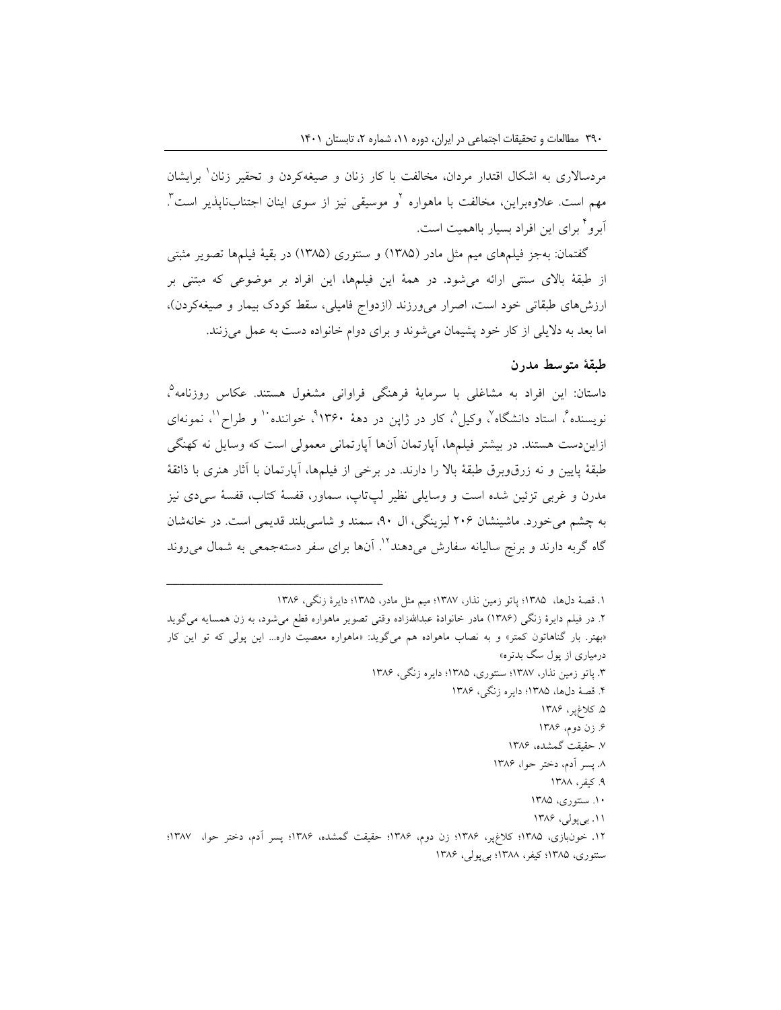مردسالاری به اشکال اقتدار مردان، مخالفت با کار زنان و صیغهکردن و تحقیر زنان ٰ برایشان مهم است. علاوهبراین، مخالفت با ماهواره <sup>۱</sup>و موسیقی نیز از سوی اینان اجتنابناپذیر است <sup>۱</sup>. 4 آبرو برای این افراد بسیار بااهمیت است.

گفتمان: بهجز فیلمهای میم مثل مادر (۱۳۸۵) و سنتوری (۱۳۸۵) در بقیۀ فیلمها تصویر مثبتی از طبقۀ باالی سنتی ارائه میشود. در همۀ این فیلمها، این افراد بر موضوعی که مبتنی بر ارزشهای طبقاتی خود است، اصرار می $\epsilon$ رزند (ازدواج فامیلی، سقط کودک بیمار و صیغهکردن)، اما بعد به دالیلی از کار خود پشیمان میشوند و برای دوام خانواده دست به عمل میزنند.

### **طبقۀ متوسط مدرن**

داستان: این افراد به مشاغلی با سرمایۀ فرهنگی فراوانی مشغول هستند. عکاس روزنامه<sup>0</sup>، نویسنده ٌ، استاد دانشگاه ٌ، وکیل ٌ، کار در ژاپن در دهۀ ۱۳۶۰ ٌ، خواننده ٔ و طراح ٔ ، نمونهای ازایندست هستند. در بیشتر فیلمها، آپارتمان آنها آپارتمانی معمولی است که وسایل نه کهنگی طبقۀ پایین و نه زرقوبرق طبقۀ باال را دارند. در برخی از فیلمها، آپارتمان با آثار هنری با ذائقۀ مدرن و غربی تزئین شده است و وسایلی نظیر لپتاپ، سماور، قفسۀ کتاب، قفسۀ سیدی نیز به چشم میخورد. ماشینشان 206 لیزینگی، ال ،90 سمند و شاسیبلند قدیمی است. در خانهشان گاه گربه دارند و برنج سالیانه سفارش میردهند <sup>۱۲</sup>. آنها برای سفر دستهجمعی به شمال می روند

.1 قصۀ دلها، 1385؛ پاتو زمین نذار، 1387؛ میم مثل مادر، 1385؛ دایرۀ زنگی، 1386

.2 در فیلم دایرۀ زنگی )1386( مادر خانوادۀ عبداهللزاده وقتی تصویر ماهواره قطع میشود، به زن همسایه میگوید »بهتر. بار گناهاتون کمتر« و به نصاب ماهواده هم میگوید: »ماهواره معصیت داره... این پولی که تو این کار درمیاری از پول سگ بدتره«

- .3 پاتو زمین نذار، 1387؛ سنتوری، 1385؛ دایره زنگی، 1386
	- .4 قصۀ دلها، 1385؛ دایره زنگی، 1386
		- .5 کالغپر، 1386
		- .6 زن دوم، 1386
		- .7 حقیقت گمشده، 1386
		- .8 پسر آدم، دختر حوا، 1386
			- .9 کیفر، 1388
			- .10 سنتوری، 1385
			- .11 بیپولی، 1386

<sup>.</sup>12 خونبازی، 1385؛ کالغپر، 1386؛ زن دوم، 1386؛ حقیقت گمشده، 1386؛ پسر آدم، دختر حوا، 1387؛ سنتوری، 1385؛ کیفر، 1388؛ بیپولی، 1386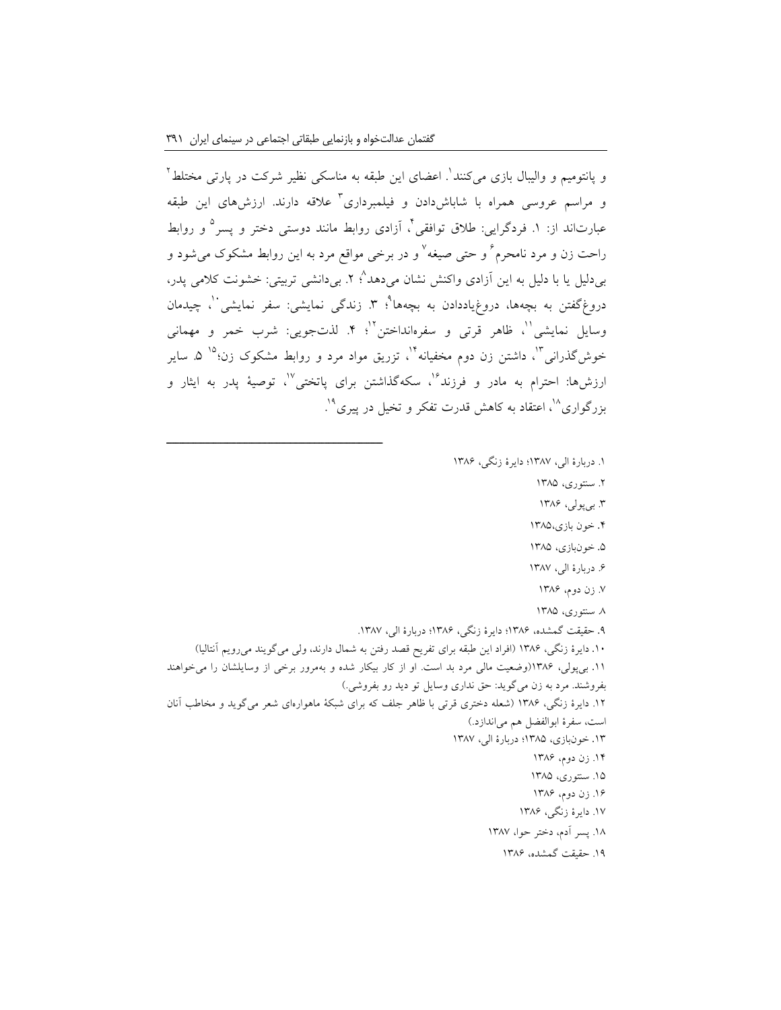و پانتومیم و والیبال بازی میکنند<sup>'</sup>. اعضای این طبقه به مناسکی نظیر شرکت در پارتی مختلط <sup>۲</sup> و مراسم عروسی همراه با شاباش۱ددن و فیلمبرداری ٔ علاقه دارند. ارزشهای این طبقه عبارتاند از: ۱. فردگرایی: طلاق توافقی<sup>۲</sup>، آزادی روابط مانند دوستی دختر و پسر<sup>۵</sup> و روابط راحت زن و مرد نامحرم ٌ و حتی صیغه ٌ و در برخی مواقع مرد به این روابط مشکوک میشود و <sub>ب</sub>ی دلیل یا با دلیل به این آزادی واکنش نشان میدهد<sup>^</sup>؛ ۲. بی**دانشی تربیتی: خشونت کلامی پدر،** دروغگفتن به بچهها، دروغیاددادن به بچهها<sup>۹</sup>؛ ۳. زندگی نمایشی: سفر نمایشی<sup>۰٬</sup>، چیدمان وسایل نمایشی"، ظاهر قرتی و سفرهانداختن"؛ ۴. لذتجوییی: شرب خمر و مهمانی خوشگذرانی<sup>۱۲</sup>، داشتن زن دوم مخفیانه<sup>۱۲</sup>، تزریق مواد مرد و روابط مشکوک زن<sup>۵۹</sup> ۵. سایر ارزش ها: احترام به مادر و فرزند<sup>۱۶</sup>، سکهگذاشتن برای پاتختی<sup>۱۷</sup>، توصیهٔ پدر به ایثار و بزرگواری<sup>۱۸</sup>، اعتقاد به کاهش قدرت تفکر و تخیل در پیری<sup>۱۹</sup>. .

.1 دربارۀ الی، 1387؛ دایرۀ زنگی، 1386

.2 سنتوری، 1385

.3 بیپولی، 1386

.4 خون بازی1385،

.5 خونبازی، 1385

۶. دربارۀ الی، ۱۳۸۷

.7 زن دوم، 1386

.8 سنتوری، 1385

۹. حقیقت گمشده، ۱۳۸۶؛ دایرۀ زنگی، ۱۳۸۶؛ دربارۀ الی، ۱۳۸۷.

.10 دایرۀ زنگی، 1386 )افراد این طبقه برای تفریح قصد رفتن به شمال دارند، ولی میگویند میرویم آنتالیا( .11 بیپولی، 1386)وضعیت مالی مرد بد است. او از کار بیکار شده و بهمرور برخی از وسایلشان را میخواهند بفروشند. مرد به زن میگوید: حق نداری وسایل تو دید رو بفروشی.( .12 دایرۀ زنگی، 1386 )شعله دختری قرتی با ظاهر جلف که برای شبکۀ ماهوارهای شعر میگوید و مخاطب آنان است، سفرۀ ابوالفضل هم میاندازد.(

.13 خونبازی، 1385؛ دربارۀ الی، 1387

.14 زن دوم، 1386

.15 سنتوری، 1385 .16 زن دوم، 1386

.17 دایرۀ زنگی، 1386

.18 پسر آدم، دختر حوا، 1387

.19 حقیقت گمشده، 1386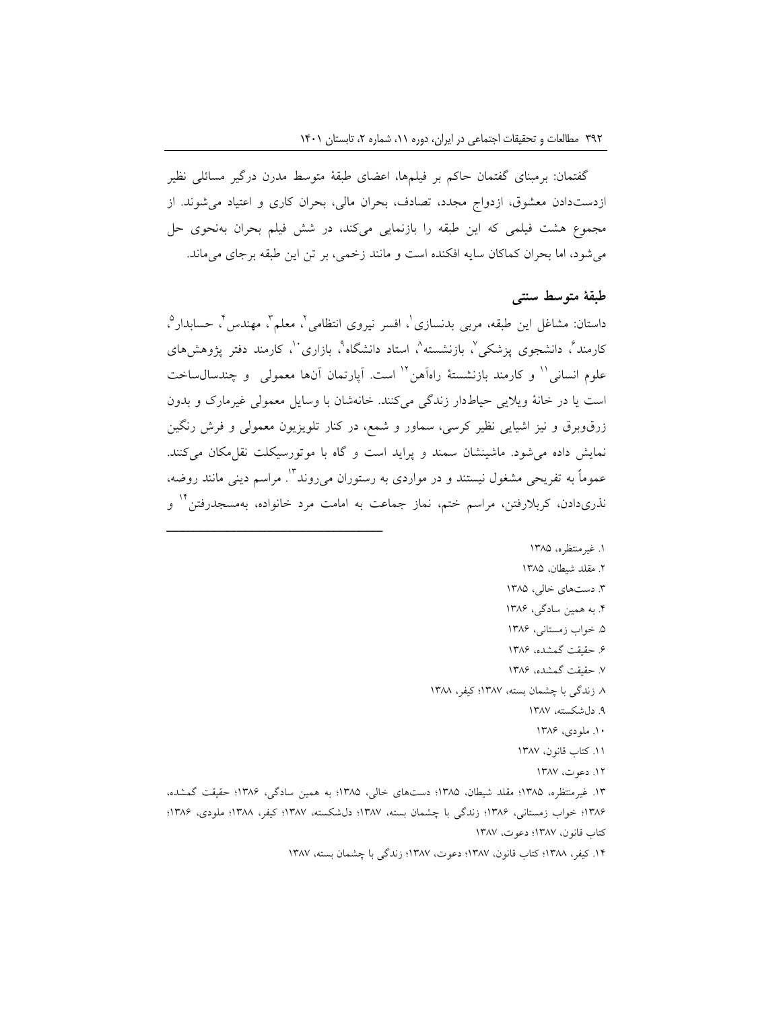گفتمان: برمبنای گفتمان حاکم بر فیلمها، اعضای طبقۀ متوسط مدرن درگیر مسائلی نظیر ازدستدادن معشوق، ازدواج مجدد، تصادف، بحران مالی، بحران کاری و اعتیاد میشوند. از مجموع هشت فیلمی که این طبقه را بازنمایی میکند، در شش فیلم بحران بهنحوی حل میشود، اما بحران کماکان سایه افکنده است و مانند زخمی، بر تن این طبقه برجای میماند.

### **طبقۀ متوسط سنتی**

داستان: مشاغل این طبقه، مربی بدنسازی ٰ، افسر نیروی انتظامی ٰ، معلم ؑ، مهندس ؑ، حسابدار ؓ، کارمند<sup>م</sup>، دانشجوی پزشکی<sup>۷</sup>، بازنشسته<sup>۹</sup>، استاد دانشگاه<sup>۹</sup>، بازاری <sup>۱</sup>، کارمند دفتر پژوهشهای علوم انسانی <sup>۱۱</sup> و کارمند بازنشستهٔ راهآهن <sup>۱۲</sup> است. آپارتمان آنها معمولی و چندسال $\sim$ اخت است یا در خانۀ ویالیی حیاطدار زندگی میکنند. خانهشان با وسایل معمولی غیرمارک و بدون زرقوبرق و نیز اشیایی نظیر کرسی، سماور و شمع، در کنار تلویزیون معمولی و فرش رنگین نمایش داده می شود. ماشینشان سمند و پراید است و گاه با موتورسیکلت نقل مکان می کنند. عموماً به تفریحی مشغول نیستند و در مواردی به رستوران میروند "'. مراسم دینی مانند روضه، نذریدادن، کربلارفتن، مراسم ختم، نماز جماعت به امامت مرد خانواده، بهمسجدرفتن<sup>۱۲</sup> و

ــــــــــــــــــــــــــــــــــــــــــــــــــــــــــــــــــــــــــــــــــــــــــــــــــــــــــــــــــــــــــــــــــــــــــــــــ

- .1 غیرمنتظره، 1385 .2 مقلد شیطان، 1385 .3 دستهای خالی، 1385 .4 به همین سادگی، 1386 .5 خواب زمستانی، 1386 .6 حقیقت گمشده، 1386 .7 حقیقت گمشده، 1386 .8 زندگی با چشمان بسته، 1387؛ کیفر، 1388 .9 دلشکسته، 1387 .10 ملودی، 1386
	- .11 کتاب قانون، 1387
		- .12 دعوت، 1387

.13 غیرمنتظره، 1385؛ مقلد شیطان، 1385؛ دستهای خالی، 1385؛ به همین سادگی، 1386؛ حقیقت گمشده، ۱۳۸۶؛ خواب زمستانی، ۱۳۸۶؛ زندگی با چشمان بسته، ۱۳۸۷؛ دلشکسته، ۱۳۸۷؛ کیفر، ۱۳۸۸؛ ملودی، ۱۳۸۶؛ کتاب قانون، 1387؛ دعوت، 1387

.14 کیفر، 1388؛ کتاب قانون، 1387؛ دعوت، 1387؛ زندگی با چشمان بسته، 1387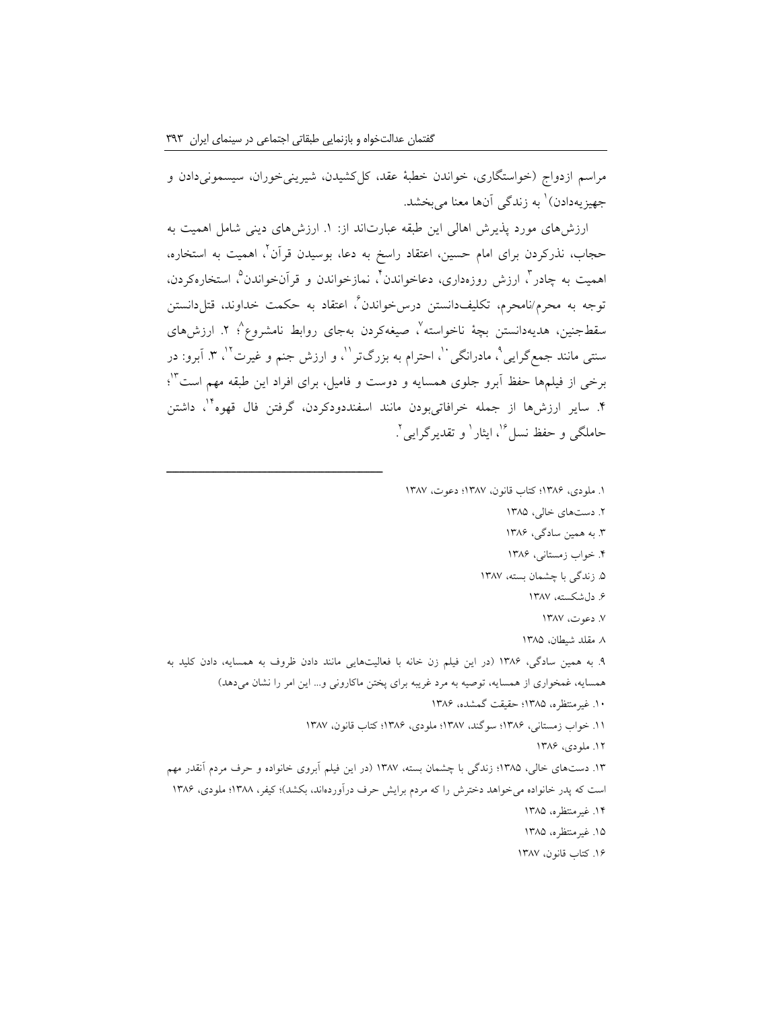مراسم ازدواج )خواستگاری، خواندن خطبۀ عقد، کلکشیدن، شیرینیخوران، سیسمونیدادن و جهیزیهدادن)<sup>\</sup> به زندگی آنها معنا میبخشد.

ارزشهای مورد پذیرش اهالی این طبقه عبارتاند از: .1 ارزشهای دینی شامل اهمیت به 2 حجاب، نذرکردن برای امام حسین، اعتقاد راسخ به دعا، بوسیدن قرآن ، اهمیت به استخاره، همیت به چادر<sup>"</sup>، ارزش روزهداری، دعاخواندن<sup>۲</sup>، نمازخواندن و قرآنخواندن°، استخارهکردن، نوجه به محرم/نامحرم، تکلیفدانستن درسڅواندن<sup>7</sup>، اعتقاد به حکمت خداوند، قتلدانستن سقطجنین، هدیهدانستن بچۀ ناخواسته٬'، صیغهکردن بهجای روابط نامشروع٬' ۲. ارزشهای سنتی مانند جمعگرایی°، مادرانگی ``، احترام به بزرگتر ``، و ارزش جنم و غیرت َ'`، ۳. اَبرو: در برخی از فیلمها حفظ آبرو جلوی همسایه و دوست و فامیل، برای افراد این طبقه مهم است<sup>۱۲</sup>؛ ۴. سایر ارزش،ها از جمله خرافاتیبودن مانند اسفنددودکردن، گرفتن فال قهوه<sup>۱۰</sup>، داشتن حاملگی و حفظ نسل<sup>17</sup>، ایثار <sup>۱</sup> و تقدیرگرایی <sup>۲</sup>. .

.1 ملودی، 1386؛ کتاب قانون، 1387؛ دعوت، 1387 .2 دستهای خالی، 1385 .3 به همین سادگی، 1386 .4 خواب زمستانی، 1386 .5 زندگی با چشمان بسته، 1387 .6 دلشکسته، 1387 .7 دعوت، 1387 .8 مقلد شیطان، 1385 .9 به همین سادگی، 1386 )در این فیلم زن خانه با فعالیتهایی مانند دادن ظروف به همسایه، دادن کلید به همسایه، غمخواری از همسایه، توصیه به مرد غریبه برای پختن ماکارونی و... این امر را نشان میدهد( .10 غیرمنتظره، 1385؛ حقیقت گمشده، 1386 .11 خواب زمستانی، 1386؛ سوگند، 1387؛ ملودی، 1386؛ کتاب قانون، 1387 .12 ملودی، 1386 .13 دستهای خالی، 1385؛ زندگی با چشمان بسته، 1387 )در این فیلم آبروی خانواده و حرف مردم آنقدر مهم است که پدر خانواده میخواهد دخترش را که مردم برایش حرف درآوردهاند، بکشد(؛ کیفر، 1388؛ ملودی، 1386 .14 غیرمنتظره، 1385

.15 غیرمنتظره، 1385

.16 کتاب قانون، 1387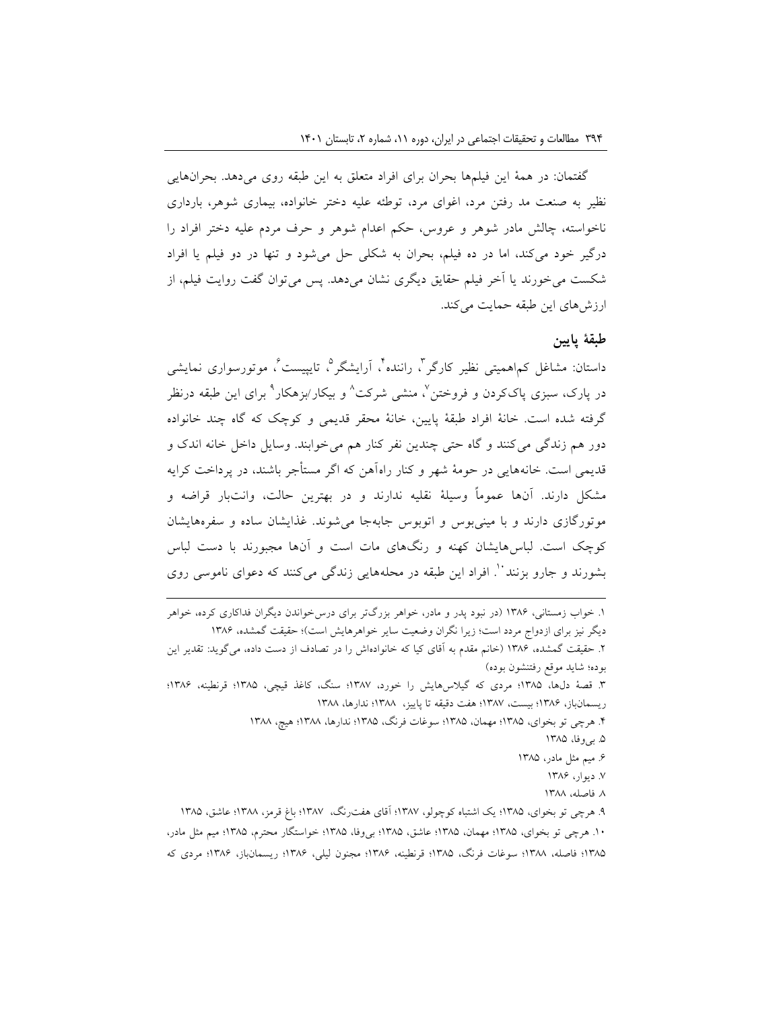گفتمان: در همۀ این فیلمها بحران برای افراد متعلق به این طبقه روی میدهد. بحرانهایی نظیر به صنعت مد رفتن مرد، اغوای مرد، توطئه علیه دختر خانواده، بیماری شوهر، بارداری ناخواسته، چالش مادر شوهر و عروس، حکم اعدام شوهر و حرف مردم علیه دختر افراد را درگیر خود میکند، اما در ده فیلم، بحران به شکلی حل میشود و تنها در دو فیلم یا افراد شکست میخورند یا آخر فیلم حقایق دیگری نشان میدهد. پس میتوان گفت روایت فیلم، از ارزش های این طبقه حمایت می کند.

## **طبقۀ پایین**

داستان: مشاغل کم\همیتی نظیر کارگر ً، راننده ً، اَرایشگر ْ، تایپیست ٌ، موتورسواری نمایشی در پارک، سبزی پاککردن و فروختن<sup>٬</sup>، منشی شرکت<sup>٬</sup> و بیکار/بزهکار<sup>۹</sup> برای این طبقه درنظر گرفته شده است. خانۀ افراد طبقۀ پایین، خانۀ محقر قدیمی و کوچک که گاه چند خانواده دور هم زندگی میکنند و گاه حتی چندین نفر کنار هم میخوابند. وسایل داخل خانه اندک و قدیمی است. خانههایی در حومۀ شهر و کنار راهآهن که اگر مستأجر باشند، در پرداخت کرایه مشکل دارند. آنها عموماً وسیلۀ نقلیه ندارند و در بهترین حالت، وانتبار قراضه و موتورگازی دارند و با مینیبوس و اتوبوس جابهجا میشوند. غذایشان ساده و سفرههایشان کوچک است. لباسهایشان کهنه و رنگهای مات است و آنها مجبورند با دست لباس بشورند و جارو بزنند ''. افراد این طبقه در محلههایی زندگی می کنند که دعوای ناموسی روی

**.** 

- .5 بیوفا، 1385
- .6 میم مثل مادر، 1385
	- .7 دیوار، 1386 .8 فاصله، 1388

<sup>.1</sup> خواب زمستانی، 1386 )در نبود پدر و مادر، خواهر بزرگتر برای درسخواندن دیگران فداکاری کرده، خواهر دیگر نیز برای ازدواج مردد است؛ زیرا نگران وضعیت سایر خواهرهایش است(؛ حقیقت گمشده، 1386 .2 حقیقت گمشده، 1386 )خانم مقدم به آقای کیا که خانوادهاش را در تصادف از دست داده، میگوید: تقدیر این

بوده؛ شاید موقع رفتنشون بوده( .3 قصۀ دلها، 1385؛ مردی که گیالسهایش را خورد، 1387؛ سنگ، کاغذ قیچی، 1385؛ قرنطینه، 1386؛ ریسمانباز، 1386؛ بیست، 1387؛ هفت دقیقه تا پاییز، 1388؛ ندارها، 1388

<sup>.4</sup> هرچی تو بخوای، 1385؛ مهمان، 1385؛ سوغات فرنگ، 1385؛ ندارها، 1388؛ هیچ، 1388

<sup>.9</sup> هرچی تو بخوای، 1385؛ یک اشتباه کوچولو، 1387؛ آقای هفترنگ، 1387؛ باغ قرمز، 1388؛ عاشق، 1385 .10 هرچی تو بخوای، 1385؛ مهمان، 1385؛ عاشق، 1385؛ بیوفا، 1385؛ خواستگار محترم، 1385؛ میم مثل مادر، ۱۳۸۵؛ فاصله، ۱۳۸۸؛ سوغات فرنگ، ۱۳۸۵؛ قرنطینه، ۱۳۸۶؛ مجنون لیلی، ۱۳۸۶؛ ریسمانباز، ۱۳۸۶؛ مردی که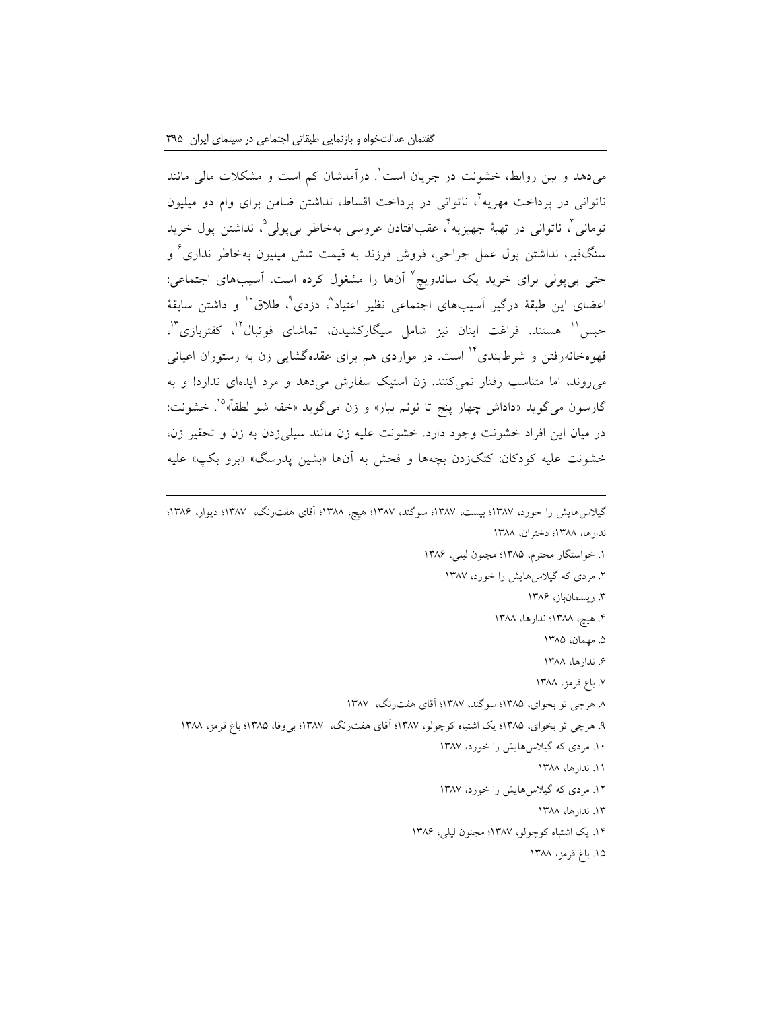**.** 

میدهد و بین روابط، خشونت در جریان است ٰ. درآمدشان کم است و مشکلات مالی مانند ناتوانی در پرداخت مهریه`، ناتوانی در پرداخت اقساط، نداشتن ضامن برای وام دو میلیون نومانی <sup>۲</sup>، ناتوانی در تهیۀ جهیزیه <sup>۲</sup>، عقبافتادن عروسی بهخاطر بیپولی°، نداشتن پول خرید سنگقبر، نداشتن پول عمل جراحی، فروش فرزند به قیمت شش میلیون بهخاطر نداری<sup>۲</sup> و حتی بیپولی برای خرید یک ساندویچ<sup>۷</sup> آنها را مشغول کرده است. آسیبهای اجتماعی: عضای این طبقۀ درگیر اَسیبهای اجتماعی نظیر اعتیاد^، دزدی`، طلاق`` و داشتن سابقۀ حبس<sup>۱۱</sup> هستند. فراغت اینان نیز شامل سیگارکشیدن، تماشای فوتبال<sup>۱٬</sup>، کفتربازی<sup>۱٬</sup>، قهوهخانهرفتن و شرطبندی<sup>۱۲</sup> است. در مواردی هم برای عقدهگشایی زن به رستوران اعیانی میروند، اما متناسب رفتار نمیکنند. زن استیک سفارش میدهد و مرد ایدهای ندارد! و به گارسون میگوید «داداش چهار پنج تا نونم بیار» و زن میگوید «خفه شو لطفاً»<sup>۱۵</sup>. خشونت: در میان این افراد خشونت وجود دارد. خشونت علیه زن مانند سیلیزدن به زن و تحقیر زن، خشونت علیه کودکان: کتکزدن بچهها و فحش به آنها »بشین پدرسگ« »برو بکپ« علیه

گیالسهایش را خورد، 1387؛ بیست، 1387؛ سوگند، 1387؛ هیچ، 1388؛ آقای هفترنگ، 1387؛ دیوار، 1386؛ ندارها، 1388؛ دختران، 1388

- .1 خواستگار محترم، 1385؛ مجنون لیلی، 1386
	- .2 مردی که گیالسهایش را خورد، 1387
		- .3 ریسمانباز، 1386
		- .4 هیچ، 1388؛ ندارها، 1388
			- .5 مهمان، 1385
			- .6 ندارها، 1388
			- .7 باغ قرمز، 1388
- .8 هرچی تو بخوای، 1385؛ سوگند، 1387؛ آقای هفترنگ، 1387
- .9 هرچی تو بخوای، 1385؛ یک اشتباه کوچولو، 1387؛ آقای هفترنگ، 1387؛ بیوفا، 1385؛ باغ قرمز، 1388
	- .10 مردی که گیالسهایش را خورد، 1387
		- .11 ندارها، 1388
	- .12 مردی که گیالسهایش را خورد، 1387
		- .13 ندارها، 1388
	- .14 یک اشتباه کوچولو، 1387؛ مجنون لیلی، 1386
		- .15 باغ قرمز، 1388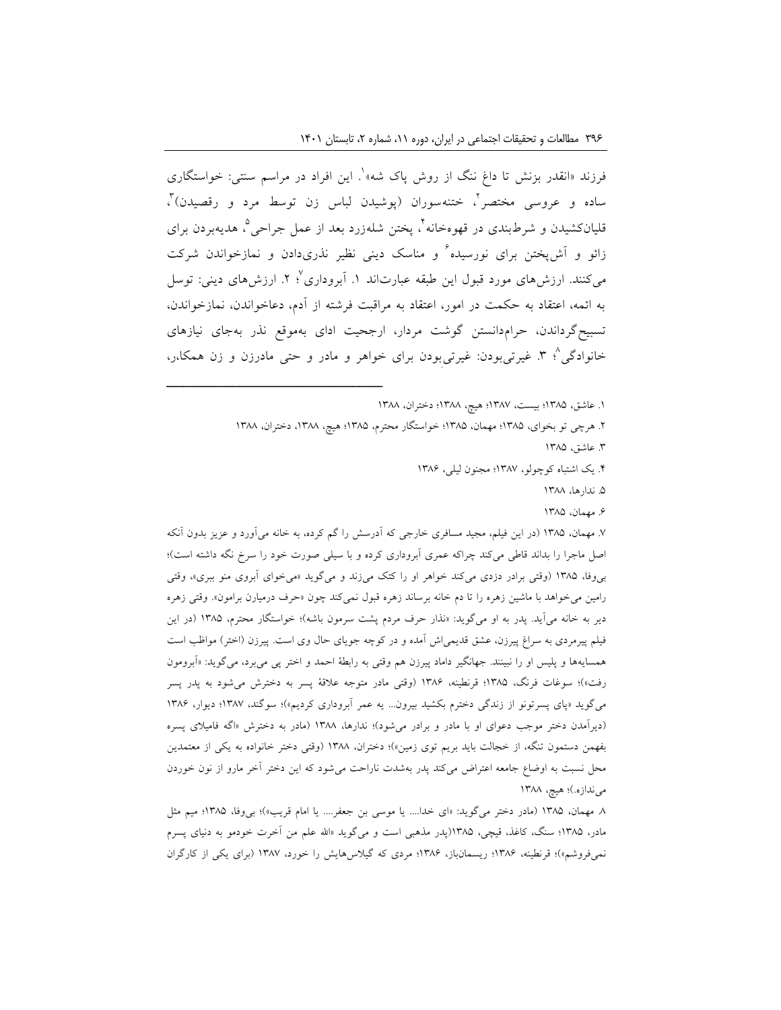فرزند «انقدر بزنش تا داغ ننگ از روش پاک شه» ٔ. این افراد در مراسم سنتی: خواستگاری ساده و عروسی مختصر ْ، ختنهسوران (پوشیدن لباس زن توسط مرد و رقصیدن) ْ، قلیانکشیدن و شرطبندی در قهوهخانه<sup>۲</sup>، پختن شلهزرد بعد از عمل جراحی°، هدیهبردن برای زائو و آش $\zeta$ نت برای نورسیده $^\prime$  و مناسک دینی نظیر نذریدادن و نمازخواندن شرکت میکنند. ارزش،های مورد قبول این طبقه عبارتاند ۱. آبروداری<sup>٬</sup> ۲. ارزش،های دینی: توسل به ائمه، اعتقاد به حکمت در امور، اعتقاد به مراقبت فرشته از آدم، دعاخواندن، نمازخواندن، تسبیحگرداندن، حرامدانستن گوشت مردار، ارجحیت ادای بهموقع نذر بهجای نیازهای خانوادگی^؛ ۳. غیرتیبودن: غیرتیبودن برای خواهر و مادر و حتی مادرزن و زن همکا،ر،

ــــــــــــــــــــــــــــــــــــــــــــــــــــــــــــــــــــــــــــــــــــــــــــــــــــــــــــــــــــــــــــــــــــــــــــــــ

.1 عاشق، 1385؛ بیست، 1387؛ هیچ، 1388؛ دختران، 1388

.2 هرچی تو بخوای، 1385؛ مهمان، 1385؛ خواستگار محترم، 1385؛ هیچ، ،1388 دختران، 1388 .3 عاشق، 1385 .4 یک اشتباه کوچولو، 1387؛ مجنون لیلی، 1386

- .5 ندارها، 1388
	- .6 مهمان، 1385

.7 مهمان، 1385 )در این فیلم، مجید مسافری خارجی که آدرسش را گم کرده، به خانه میآورد و عزیز بدون آنکه اصل ماجرا را بداند قاطی میکند چراکه عمری آبروداری کرده و با سیلی صورت خود را سرخ نگه داشته است(؛ بیوفا، 1385 )وقتی برادر دزدی میکند خواهر او را کتک میزند و میگوید »میخوای آبروی منو ببری«، وقتی رامین میخواهد با ماشین زهره را تا دم خانه برساند زهره قبول نمیکند چون »حرف درمیارن برامون«. وقتی زهره دیر به خانه میآید. پدر به او میگوید: «نذار حرف مردم پشت سرمون باشه)؛ خواستگار محترم، ۱۳۸۵ (در این فیلم پیرمردی به سراغ پیرزن، عشق قدیمی|ش آمده و در کوچه جویای حال وی است. پیرزن (اختر) مواظب است همسایهها و پلیس او را نبینند. جهانگیر داماد پیرزن هم وقتی به رابطۀ احمد و اختر پی میبرد، میگوید: »آبرومون رفت»)؛ سوغات فرنگ، ۱۳۸۵؛ قرنطینه، ۱۳۸۶ (وقتی مادر متوجه علاقۀ پسر به دخترش میشود به پدر پسر میگوید «پای پسرتونو از زندگی دخترم بکشید بیرون... یه عمر آبروداری کردیم»)؛ سوگند، ۱۳۸۷؛ دیوار، ۱۳۸۶ )دیرآمدن دختر موجب دعوای او با مادر و برادر میشود(؛ ندارها، 1388 )مادر به دخترش »اگه فامیالی پسره بفهمن دستمون تنگه، از خجالت باید بریم توی زمین»)؛ دختران، ۱۳۸۸ (وقتی دختر خانواده به یکی از معتمدین محل نسبت به اوضاع جامعه اعتراض میکند پدر بهشدت ناراحت میشود که این دختر آخر مارو از نون خوردن میندازه.)؛ هیچ، ۱۳۸۸

.8 مهمان، 1385 )مادر دختر میگوید: »ای خدا.... یا موسی بن جعفر.... یا امام قریب«(؛ بیوفا، 1385؛ میم مثل مادر، 1385؛ سنگ، کاغذ، قیچی، 1385)پدر مذهبی است و میگوید »اهلل علم من آخرت خودمو به دنیای پسرم نمیفروشم«(؛ قرنطینه، 1386؛ ریسمانباز، 1386؛ مردی که گیالسهایش را خورد، 1387 )برای یکی از کارگران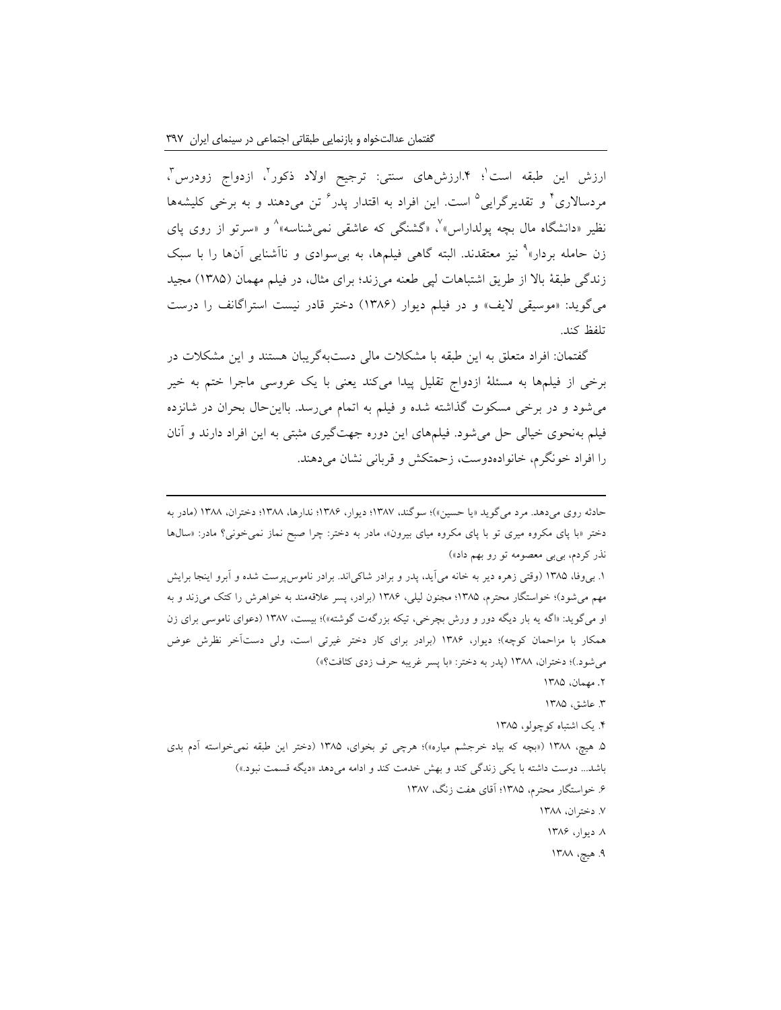**.** 

رزش این طبقه است'؛ ۴.ارزش،های سنتی: ترجیح اولاد ذکور'، ازدواج زودرس'، مردسالاری<sup>٬</sup> و تقدیرگرایی<sup>۵</sup> است. این افراد به اقتدار پدر<sup>۲</sup> تن میدهند و به برخی کلیشهها نظیر «دانشگاه مال بچه پولداراس»<sup>٬</sup>، «گشنگی که عاشقی نمیشناسه»<sup>^</sup> و «سرتو از روی پای زن حامله بردار»<sup>۹</sup> نیز معتقدند. البته گاهی فیلمها، به بی۳سوادی و ناآشنایی آنها را با سبک زندگی طبقۀ باال از طریق اشتباهات لپی طعنه میزند؛ برای مثال، در فیلم مهمان )1385( مجید میگوید: «موسیقی لایف» و در فیلم دیوار (۱۳۸۶) دختر قادر نیست استراگانف را درست تلفظ کند.

گفتمان: افراد متعلق به این طبقه با مشکالت مالی دستبهگریبان هستند و این مشکالت در برخی از فیلمها به مسئلۀ ازدواج تقلیل پیدا میکند یعنی با یک عروسی ماجرا ختم به خیر میشود و در برخی مسکوت گذاشته شده و فیلم به اتمام میرسد. بااینحال بحران در شانزده فیلم بهنحوی خیالی حل میشود. فیلمهای این دوره جهتگیری مثبتی به این افراد دارند و آنان را افراد خونگرم، خانوادهدوست، زحمتکش و قربانی نشان میدهند.

حادثه روی میدهد. مرد میگوید »یا حسین«(؛ سوگند، 1387؛ دیوار، 1386؛ ندارها، 1388؛ دختران، 1388 )مادر به دختر »با پای مکروه میری تو با پای مکروه میای بیرون«، مادر به دختر: چرا صبح نماز نمیخونی؟ مادر: »سالها نذر کردم، بیبی معصومه تو رو بهم داد«(

.1 بیوفا، 1385 )وقتی زهره دیر به خانه میآید، پدر و برادر شاکیاند. برادر ناموسپرست شده و آبرو اینجا برایش مهم میشود(؛ خواستگار محترم، 1385؛ مجنون لیلی، 1386 )برادر، پسر عالقهمند به خواهرش را کتک میزند و به او میگوید: «اگه یه بار دیگه دور و ورش بچرخی، تیکه بزرگهت گوشته»)؛ بیست، ۱۳۸۷ (دعوای ناموسی برای زن همکار با مزاحمان کوچه)؛ دیوار، ۱۳۸۶ (برادر برای کار دختر غیرتی است، ولی دستآخر نظرش عوض می شود.)؛ دختران، ۱۳۸۸ (پدر به دختر: «با پسر غریبه حرف زدی کثافت؟»)

.2 مهمان، 1385

.3 عاشق، 1385

.4 یک اشتباه کوچولو، 1385

.5 هیچ، 1388 )»بچه که بیاد خرجشم میاره«(؛ هرچی تو بخوای، 1385 )دختر این طبقه نمیخواسته آدم بدی باشد... دوست داشته با یکی زندگی کند و بهش خدمت کند و ادامه میدهد »دیگه قسمت نبود.«( .6 خواستگار محترم، 1385؛ آقای هفت زنگ، 1387 .7 دختران، 1388

.8 دیوار، 1386

۹. هیچ، ۱۳۸۸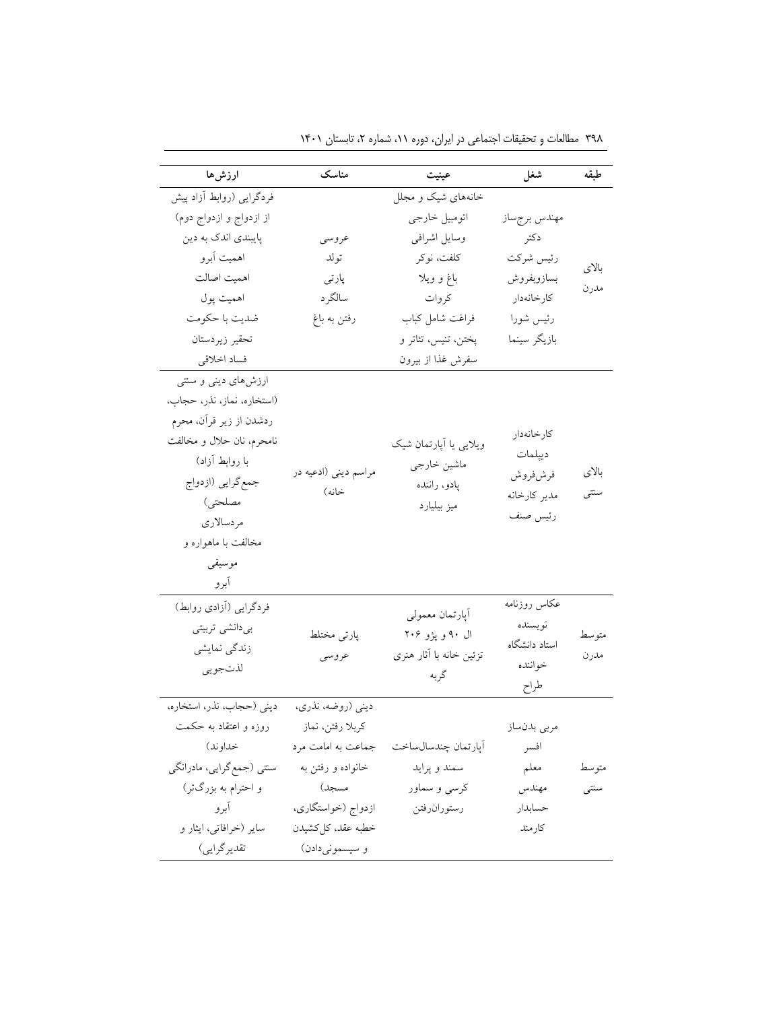| ارزشها                     | مناسك                | عينيت                       | شغل           | طبقه  |
|----------------------------|----------------------|-----------------------------|---------------|-------|
| فردگرایی (روابط آزاد پیش   |                      | خانههای شیک و مجلل          |               |       |
| از ازدواج و ازدواج دوم)    |                      | اتومبيل خارجي               | مهندس برجساز  |       |
| پایبندی اندک به دین        | عروسى                | وسايل اشرافي                | دكتر          |       |
| اهميت أبرو                 | تولد                 | كلفت، نوكر                  | رئيس شركت     |       |
| اهميت اصالت                | پارتی                | باغ و ويلا                  | بسازوبفروش    | بالاي |
| اهميت پول                  | سالگرد               | كروات                       | كارخانهدار    | مدرن  |
| ضديت با حكومت              | رفتن به باغ          | فراغت شامل كباب             | رئيس شورا     |       |
| تحقير زيردستان             |                      | پختن، تنيس، تئاتر و         | بازيگر سينما  |       |
| فساد اخلاقي                |                      | سفرش غذا از بیرون           |               |       |
| ارزشهای دینی و سنتی        |                      |                             |               |       |
| (استخاره، نماز، نذر، حجاب، |                      |                             |               |       |
| ردشدن از زیر قرآن، محرم    |                      |                             |               |       |
| نامحرم، نان حلال و مخالفت  |                      | ویلایی یا آپارتمان شیک      | كارخانهدار    |       |
| با روابط آزاد)             |                      |                             | ديپلمات       |       |
| جمع گرايي (ازدواج          | مراسم ديني (ادعيه در | ماشين خارجي<br>پادو، راننده | فرش فروش      | بالاي |
| مصلحتى)                    | خانه)                | ميز بيليارد                 | مدير كارخانه  | سنتى  |
| مردسالاري                  |                      |                             | رئيس صنف      |       |
| مخالفت با ماهواره و        |                      |                             |               |       |
| موسيقى                     |                      |                             |               |       |
| أبرو                       |                      |                             |               |       |
| فردگرایی (آزادی روابط)     |                      |                             | عكاس روزنامه  |       |
| بىدانشى تربيتى             |                      | أپارتمان معمولي             | نويسنده       |       |
| زندگی نمایشی               | پارتی مختلط          | ال ۹۰ و پژو ۲۰۶             | استاد دانشگاه | متوسط |
| لذتجويي                    | عروسى                | تزئین خانه با آثار هنری     | خواننده       | مدرن  |
|                            |                      | گربه                        | طراح          |       |
| دینی (حجاب، نذر، استخاره،  | دینی (روضه، نذری،    |                             |               |       |
| روزه و اعتقاد به حکمت      | كربلا رفتن، نماز     |                             | مربى بدنساز   |       |
| خداوند)                    | جماعت به امامت مرد   | أپارتمان چندسالساخت         | افسر          |       |
| سنتی (جمع گرایی، مادرانگی  | خانواده و رفتن به    | سمند و پرايد                | معلم          | متوسط |
| و احترام به بزرگتر)        | مسجل)                | كرسي و سماور                | مهندس         | سنتبى |
| آبرو                       | ازدواج (خواستگاري،   | رستورانرفتن                 | حسابدار       |       |
| سایر (خرافاتی، ایثار و     | خطبه عقد، كلكشيدن    |                             | كارمند        |       |
| تقدير گرايي)               | و سیسمونیدادن)       |                             |               |       |

۳۹۸ مطالعات و تحقیقات اجتماعی در ایران، دوره ۱۱، شماره ۲، تابستان ۱۴۰۱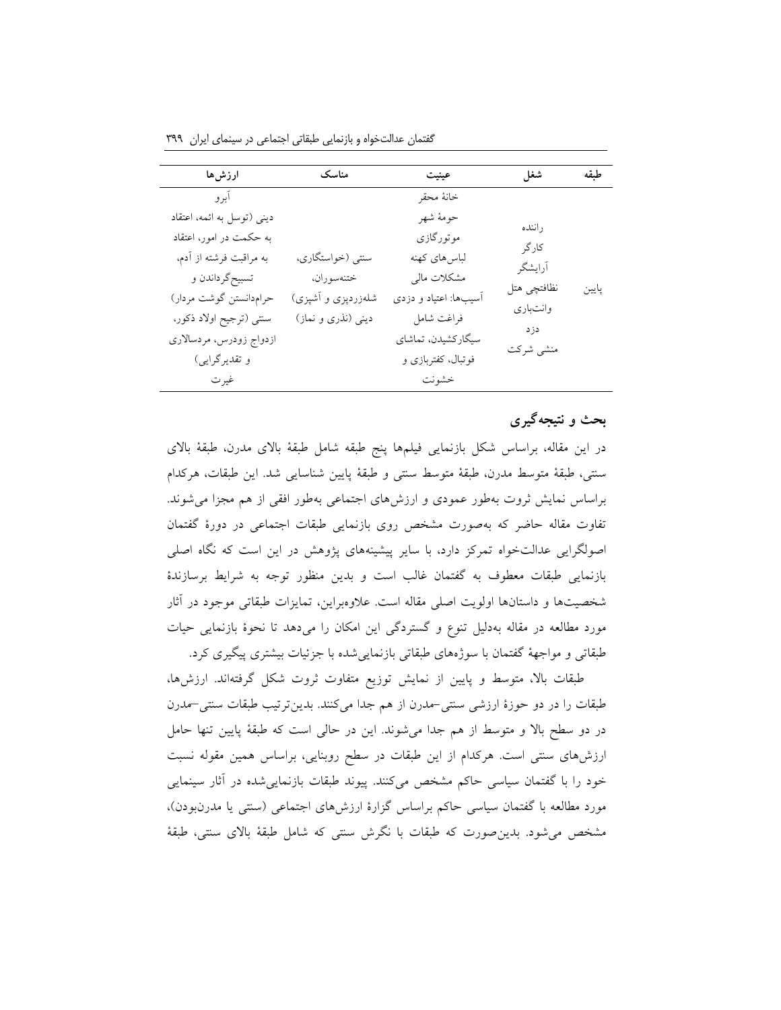گفتمان عدالتخواه و بازنمایی طبقاتی اجتماعی در سینمای ایران 399

| ارزشها                     | مناسک              | عينيت                 | شغل                     | طيقه  |
|----------------------------|--------------------|-----------------------|-------------------------|-------|
| آبر و                      |                    | خانهٔ محقر            |                         |       |
| دینی (توسل به ائمه، اعتقاد |                    | حومهٔ شهر             | راننده                  |       |
| به حکمت در امور، اعتقاد    |                    | موتورگازی             | کار گر                  |       |
| به مراقبت فرشته از آدم،    | سنتي (خواستگاري،   | لباس هاي كهنه         | أرايشگر                 |       |
| تسبيح گرداندن و            | ختنهسوران،         | مشكلات مالي           |                         |       |
| حرامدانستن گوشت مردار)     | شلهزردپزی و آشپزی) | آسیبها: اعتیاد و دزدی | نظافتچي هتل<br>وانتبارى | پايين |
| سنتي (ترجيح اولاد ذكور،    | دینی (نذری و نماز) | فراغت شامل            | دزد                     |       |
| ازدواج زودرس، مردسالاري    |                    | سیگارکشیدن، تماشای    | منشى شركت               |       |
| و تقدیرگرایی)              |                    | فوتبال، كفتربازي و    |                         |       |
| غيرت                       |                    | خشونت                 |                         |       |

# **بحث و نتیجهگیری**

در این مقاله، براساس شکل بازنمایی فیلمها پنج طبقه شامل طبقۀ باالی مدرن، طبقۀ باالی سنتی، طبقۀ متوسط مدرن، طبقۀ متوسط سنتی و طبقۀ پایین شناسایی شد. این طبقات، هرکدام براساس نمایش ثروت بهطور عمودی و ارزشهای اجتماعی بهطور افقی از هم مجزا میشوند. تفاوت مقاله حاضر که بهصورت مشخص روی بازنمایی طبقات اجتماعی در دورۀ گفتمان اصولگرایی عدالتخواه تمرکز دارد، با سایر پیشینههای پژوهش در این است که نگاه اصلی بازنمایی طبقات معطوف به گفتمان غالب است و بدین منظور توجه به شرایط برسازندۀ شخصیتها و داستانها اولویت اصلی مقاله است. عالوهبراین، تمایزات طبقاتی موجود در آثار مورد مطالعه در مقاله بهدلیل تنوع و گستردگی این امکان را میدهد تا نحوۀ بازنمایی حیات طبقاتی و مواجهۀ گفتمان با سوژههای طبقاتی بازنماییشده با جزئیات بیشتری پیگیری کرد.

طبقات باال، متوسط و پایین از نمایش توزیع متفاوت ثروت شکل گرفتهاند. ارزشها، طبقات را در دو حوزۀ ارزشی سنتی-مدرن از هم جدا میکنند. بدینترتیب طبقات سنتی–مدرن در دو سطح باال و متوسط از هم جدا میشوند. این در حالی است که طبقۀ پایین تنها حامل ارزشهای سنتی است. هرکدام از این طبقات در سطح روبنایی، براساس همین مقوله نسبت خود را با گفتمان سیاسی حاکم مشخص میکنند. پیوند طبقات بازنماییشده در آثار سینمایی مورد مطالعه با گفتمان سیاسی حاکم براساس گزارۀ ارزشهای اجتماعی (سنتی یا مدرنبودن)، مشخص میشود. بدینصورت که طبقات با نگرش سنتی که شامل طبقۀ باالی سنتی، طبقۀ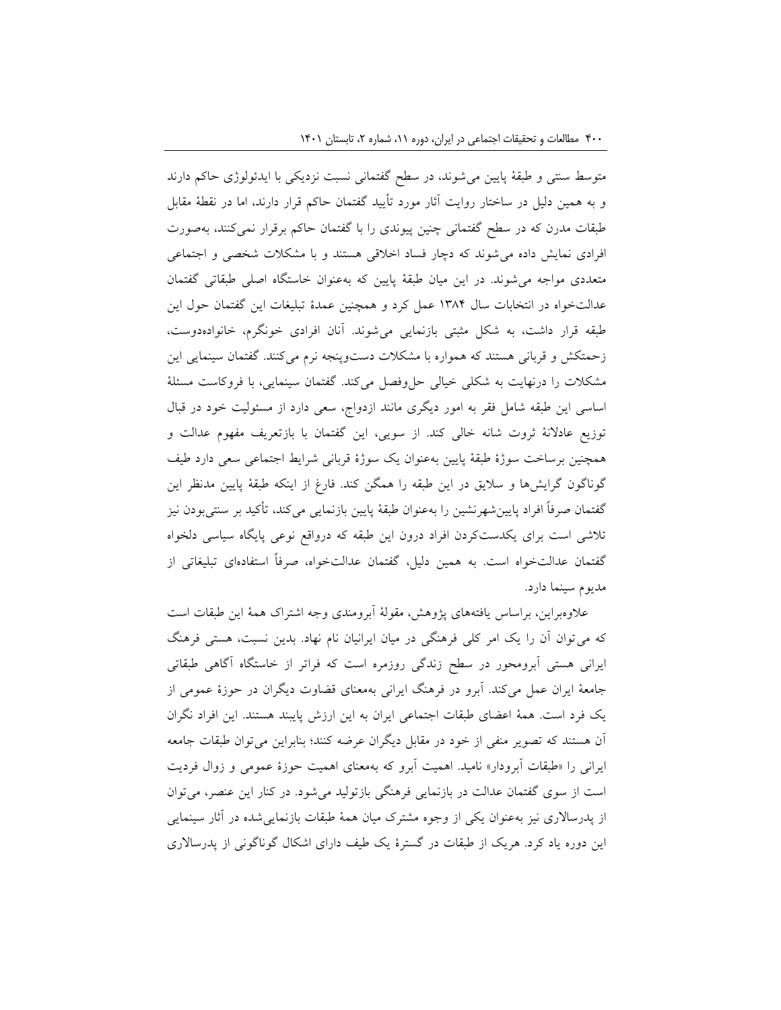متوسط سنتی و طبقۀ پایین میشوند، در سطح گفتمانی نسبت نزدیکی با ایدئولوژی حاکم دارند و به همین دلیل در ساختار روایت آثار مورد تأیید گفتمان حاکم قرار دارند، اما در نقطۀ مقابل طبقات مدرن که در سطح گفتمانی چنین پیوندی را با گفتمان حاکم برقرار نمیکنند، بهصورت افرادی نمایش داده میشوند که دچار فساد اخالقی هستند و با مشکالت شخصی و اجتماعی متعددی مواجه میشوند. در این میان طبقۀ پایین که بهعنوان خاستگاه اصلی طبقاتی گفتمان عدالتخواه در انتخابات سال 1384 عمل کرد و همچنین عمدۀ تبلیغات این گفتمان حول این طبقه قرار داشت، به شکل مثبتی بازنمایی میشوند. آنان افرادی خونگرم، خانوادهدوست، زحمتکش و قربانی هستند که همواره با مشکالت دستوپنجه نرم میکنند. گفتمان سینمایی این مشکلات را درنهایت به شکلی خیالی حلوفصل میکند. گفتمان سینمایی، با فروکاست مسئلۀ اساسی این طبقه شامل فقر به امور دیگری مانند ازدواج، سعی دارد از مسئولیت خود در قبال توزیع عادالنۀ ثروت شانه خالی کند. از سویی، این گفتمان با بازتعریف مفهوم عدالت و همچنین برساخت سوژۀ طبقۀ پایین بهعنوان یک سوژۀ قربانی شرایط اجتماعی سعی دارد طیف گوناگون گرایشها و سالیق در این طبقه را همگن کند. فارغ از اینکه طبقۀ پایین مدنظر این گفتمان صرفاً افراد پایینشهرنشین را بهعنوان طبقۀ پایین بازنمایی میکند، تأکید بر سنتیبودن نیز تالشی است برای یکدستکردن افراد درون این طبقه که درواقع نوعی پایگاه سیاسی دلخواه گفتمان عدالتخواه است. به همین دلیل، گفتمان عدالتخواه، صرفاً استفادهای تبلیغاتی از مدیوم سینما دارد.

عالوهبراین، براساس یافتههای پژوهش، مقولۀ آبرومندی وجه اشتراک همۀ این طبقات است که میتوان آن را یک امر کلی فرهنگی در میان ایرانیان نام نهاد. بدین نسبت، هستی فرهنگ ایرانی هستی آبرومحور در سطح زندگی روزمره است که فراتر از خاستگاه آگاهی طبقاتی جامعۀ ایران عمل میکند. آبرو در فرهنگ ایرانی بهمعنای قضاوت دیگران در حوزۀ عمومی از یک فرد است. همۀ اعضای طبقات اجتماعی ایران به این ارزش پایبند هستند. این افراد نگران آن هستند که تصویر منفی از خود در مقابل دیگران عرضه کنند؛ بنابراین میتوان طبقات جامعه ایرانی را »طبقات آبرودار« نامید. اهمیت آبرو که بهمعنای اهمیت حوزۀ عمومی و زوال فردیت است از سوی گفتمان عدالت در بازنمایی فرهنگی بازتولید میشود. در کنار این عنصر، میتوان از پدرساالری نیز بهعنوان یکی از وجوه مشترک میان همۀ طبقات بازنماییشده در آثار سینمایی این دوره یاد کرد. هریک از طبقات در گسترۀ یک طیف دارای اشکال گوناگونی از پدرساالری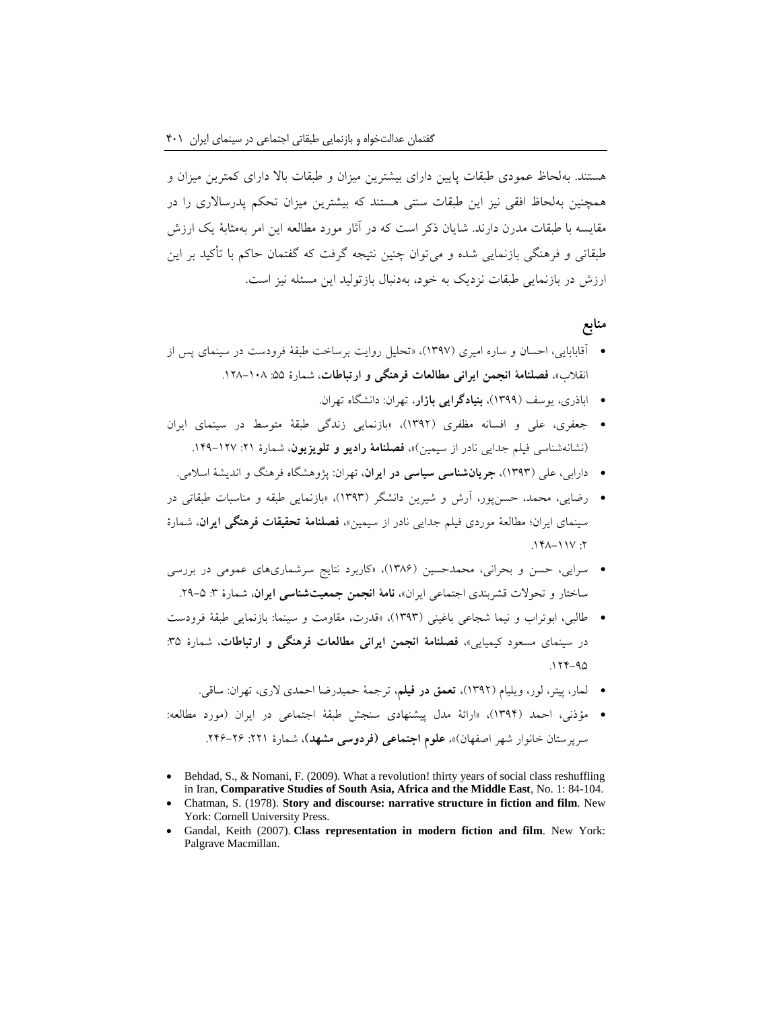هستند. بهلحاظ عمودی طبقات پایین دارای بیشترین میزان و طبقات باال دارای کمترین میزان و همچنین بهلحاظ افقی نیز این طبقات سنتی هستند که بیشترین میزان تحکم پدرساالری را در مقایسه با طبقات مدرن دارند. شایان ذکر است که در آثار مورد مطالعه این امر بهمثابۀ یک ارزش طبقاتی و فرهنگی بازنمایی شده و میتوان چنین نتیجه گرفت که گفتمان حاکم با تأکید بر این ارزش در بازنمایی طبقات نزدیک به خود، بهدنبال بازتولید این مسئله نیز است.

## **منابع**

- آقابابایی، احسان و ساره امیری )1397(، »تحلیل روایت برساخت طبقۀ فرودست در سینمای پس از انقلاب»، فصلنامۀ انجمن ایرانی مطالعات فرهنگی و ارتباطات، شمارۀ ۵۵: ۱۰۸–۱۲۸.
	- اباذری، یوسف )1399(، **بنیادگرایی بازار**، تهران: دانشگاه تهران.
- جعفری، علی و افسانه مظفری )1392(، »بازنمایی زندگی طبقۀ متوسط در سینمای ایران (نشانهشناسی فیلم جدایی نادر از سیمین)»، فصلنامۀ **رادیو و تلویزیون**، شمارۀ ٢١: ١٢٧-١٤٩.
	- دارابی، علی )1393(، **جریانشناسی سیاسی در ایران**، تهران: پژوهشگاه فرهنگ و اندیشۀ اسالمی.
- رضایی، محمد، حسنپور، آرش و شیرین دانشگر )1393(، »بازنمایی طبقه و مناسبات طبقاتی در سینمای ایران؛ مطالعۀ موردی فیلم جدایی نادر از سیمین«، **فصلنامۀ تحقیقات فرهنگی ایران**، شمارۀ  $.141 - 11V$ :
- سرایی، حسن و بحرانی، محمدحسین )1386(، »کاربرد نتایج سرشماریهای عمومی در بررسی ساختار و تحوالت قشربندی اجتماعی ایران«، **نامۀ انجمن جمعیتشناسی ایران**، شمارۀ :3 .29-5
- طالبی، ابوتراب و نیما شجاعی باغینی )1393(، »قدرت، مقاومت و سینما: بازنمایی طبقۀ فرودست در سینمای مسعود کیمیایی«، **فصلنامۀ انجمن ایرانی مطالعات فرهنگی و ارتباطات**، شمارۀ :35  $.177 - 90$ 
	- لمار، پیتر، لور، ویلیام )1392(، **تعمق در فیلم**، ترجمۀ حمیدرضا احمدی الری، تهران: ساقی.
- مؤذنی، احمد )1394(، »ارائۀ مدل پیشنهادی سنجش طبقۀ اجتماعی در ایران )مورد مطالعه: سرپرستان خانوار شهر اصفهان)»**، علوم اجتماعی (فردوسی مشهد)**، شمارۀ ٢٢١: ٢۶–٢۴۶.
- Behdad, S., & Nomani, F. (2009). What a revolution! thirty years of social class reshuffling in Iran, **Comparative Studies of South Asia, Africa and the Middle East**, No. 1: 84-104.
- Chatman, S. (1978). **Story and discourse: narrative structure in fiction and film**. New York: Cornell University Press.
- Gandal, Keith (2007). **Class representation in modern fiction and film**. New York: Palgrave Macmillan.